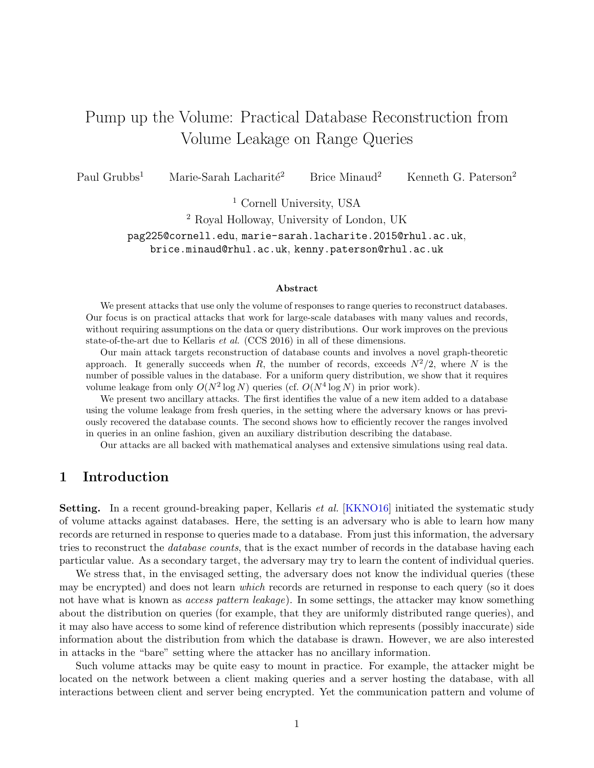# Pump up the Volume: Practical Database Reconstruction from Volume Leakage on Range Queries

Paul Grubbs<sup>1</sup> Marie-Sarah Lacharité<sup>2</sup> Brice Minaud<sup>2</sup> Kenneth G. Paterson<sup>2</sup>

<sup>1</sup> Cornell University, USA

<sup>2</sup> Royal Holloway, University of London, UK pag225@cornell.edu, marie-sarah.lacharite.2015@rhul.ac.uk, brice.minaud@rhul.ac.uk, kenny.paterson@rhul.ac.uk

#### Abstract

We present attacks that use only the volume of responses to range queries to reconstruct databases. Our focus is on practical attacks that work for large-scale databases with many values and records, without requiring assumptions on the data or query distributions. Our work improves on the previous state-of-the-art due to Kellaris et al. (CCS 2016) in all of these dimensions.

Our main attack targets reconstruction of database counts and involves a novel graph-theoretic approach. It generally succeeds when R, the number of records, exceeds  $N^2/2$ , where N is the number of possible values in the database. For a uniform query distribution, we show that it requires volume leakage from only  $O(N^2 \log N)$  queries (cf.  $O(N^4 \log N)$  in prior work).

We present two ancillary attacks. The first identifies the value of a new item added to a database using the volume leakage from fresh queries, in the setting where the adversary knows or has previously recovered the database counts. The second shows how to efficiently recover the ranges involved in queries in an online fashion, given an auxiliary distribution describing the database.

Our attacks are all backed with mathematical analyses and extensive simulations using real data.

## <span id="page-0-0"></span>1 Introduction

**Setting.** In a recent ground-breaking paper, Kellaris *et al.* [\[KKNO16\]](#page-25-0) initiated the systematic study of volume attacks against databases. Here, the setting is an adversary who is able to learn how many records are returned in response to queries made to a database. From just this information, the adversary tries to reconstruct the *database counts*, that is the exact number of records in the database having each particular value. As a secondary target, the adversary may try to learn the content of individual queries.

We stress that, in the envisaged setting, the adversary does not know the individual queries (these may be encrypted) and does not learn *which* records are returned in response to each query (so it does not have what is known as *access pattern leakage*). In some settings, the attacker may know something about the distribution on queries (for example, that they are uniformly distributed range queries), and it may also have access to some kind of reference distribution which represents (possibly inaccurate) side information about the distribution from which the database is drawn. However, we are also interested in attacks in the "bare" setting where the attacker has no ancillary information.

Such volume attacks may be quite easy to mount in practice. For example, the attacker might be located on the network between a client making queries and a server hosting the database, with all interactions between client and server being encrypted. Yet the communication pattern and volume of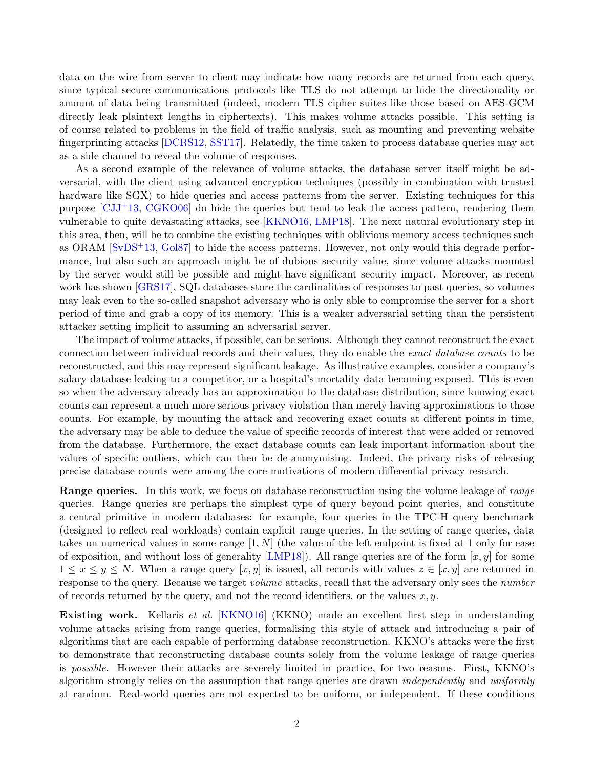data on the wire from server to client may indicate how many records are returned from each query, since typical secure communications protocols like TLS do not attempt to hide the directionality or amount of data being transmitted (indeed, modern TLS cipher suites like those based on AES-GCM directly leak plaintext lengths in ciphertexts). This makes volume attacks possible. This setting is of course related to problems in the field of traffic analysis, such as mounting and preventing website fingerprinting attacks [\[DCRS12,](#page-24-0) [SST17\]](#page-25-1). Relatedly, the time taken to process database queries may act as a side channel to reveal the volume of responses.

As a second example of the relevance of volume attacks, the database server itself might be adversarial, with the client using advanced encryption techniques (possibly in combination with trusted hardware like SGX) to hide queries and access patterns from the server. Existing techniques for this purpose  $\left[\text{CJJ}^{+}13,\text{CKO06}\right]$  do hide the queries but tend to leak the access pattern, rendering them vulnerable to quite devastating attacks, see [\[KKNO16,](#page-25-0) [LMP18\]](#page-25-2). The next natural evolutionary step in this area, then, will be to combine the existing techniques with oblivious memory access techniques such as ORAM [\[SvDS](#page-25-3)+13, [Gol87\]](#page-24-3) to hide the access patterns. However, not only would this degrade performance, but also such an approach might be of dubious security value, since volume attacks mounted by the server would still be possible and might have significant security impact. Moreover, as recent work has shown [\[GRS17\]](#page-25-4), SQL databases store the cardinalities of responses to past queries, so volumes may leak even to the so-called snapshot adversary who is only able to compromise the server for a short period of time and grab a copy of its memory. This is a weaker adversarial setting than the persistent attacker setting implicit to assuming an adversarial server.

The impact of volume attacks, if possible, can be serious. Although they cannot reconstruct the exact connection between individual records and their values, they do enable the exact database counts to be reconstructed, and this may represent significant leakage. As illustrative examples, consider a company's salary database leaking to a competitor, or a hospital's mortality data becoming exposed. This is even so when the adversary already has an approximation to the database distribution, since knowing exact counts can represent a much more serious privacy violation than merely having approximations to those counts. For example, by mounting the attack and recovering exact counts at different points in time, the adversary may be able to deduce the value of specific records of interest that were added or removed from the database. Furthermore, the exact database counts can leak important information about the values of specific outliers, which can then be de-anonymising. Indeed, the privacy risks of releasing precise database counts were among the core motivations of modern differential privacy research.

**Range queries.** In this work, we focus on database reconstruction using the volume leakage of *range* queries. Range queries are perhaps the simplest type of query beyond point queries, and constitute a central primitive in modern databases: for example, four queries in the TPC-H query benchmark (designed to reflect real workloads) contain explicit range queries. In the setting of range queries, data takes on numerical values in some range  $[1, N]$  (the value of the left endpoint is fixed at 1 only for ease of exposition, and without loss of generality [\[LMP18\]](#page-25-2)). All range queries are of the form  $[x, y]$  for some  $1 \leq x \leq y \leq N$ . When a range query  $[x, y]$  is issued, all records with values  $z \in [x, y]$  are returned in response to the query. Because we target *volume* attacks, recall that the adversary only sees the *number* of records returned by the query, and not the record identifiers, or the values  $x, y$ .

**Existing work.** Kellaris *et al.* [\[KKNO16\]](#page-25-0) (KKNO) made an excellent first step in understanding volume attacks arising from range queries, formalising this style of attack and introducing a pair of algorithms that are each capable of performing database reconstruction. KKNO's attacks were the first to demonstrate that reconstructing database counts solely from the volume leakage of range queries is possible. However their attacks are severely limited in practice, for two reasons. First, KKNO's algorithm strongly relies on the assumption that range queries are drawn *independently* and *uniformly* at random. Real-world queries are not expected to be uniform, or independent. If these conditions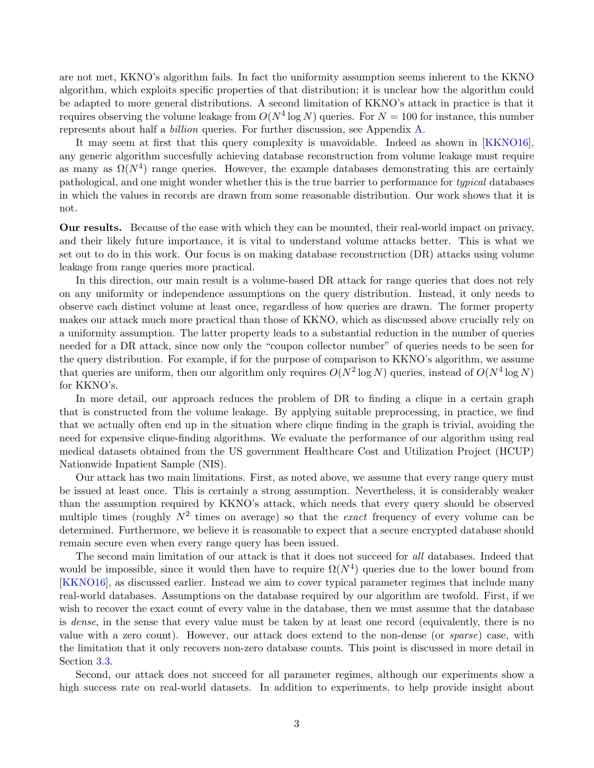are not met, KKNO's algorithm fails. In fact the uniformity assumption seems inherent to the KKNO algorithm, which exploits specific properties of that distribution; it is unclear how the algorithm could be adapted to more general distributions. A second limitation of KKNO's attack in practice is that it requires observing the volume leakage from  $O(N^4 \log N)$  queries. For  $N = 100$  for instance, this number represents about half a billion queries. For further discussion, see Appendix [A.](#page-26-0)

It may seem at first that this query complexity is unavoidable. Indeed as shown in [\[KKNO16\]](#page-25-0), any generic algorithm succesfully achieving database reconstruction from volume leakage must require as many as  $\Omega(N^4)$  range queries. However, the example databases demonstrating this are certainly pathological, and one might wonder whether this is the true barrier to performance for typical databases in which the values in records are drawn from some reasonable distribution. Our work shows that it is not.

Our results. Because of the ease with which they can be mounted, their real-world impact on privacy, and their likely future importance, it is vital to understand volume attacks better. This is what we set out to do in this work. Our focus is on making database reconstruction (DR) attacks using volume leakage from range queries more practical.

In this direction, our main result is a volume-based DR attack for range queries that does not rely on any uniformity or independence assumptions on the query distribution. Instead, it only needs to observe each distinct volume at least once, regardless of how queries are drawn. The former property makes our attack much more practical than those of KKNO, which as discussed above crucially rely on a uniformity assumption. The latter property leads to a substantial reduction in the number of queries needed for a DR attack, since now only the "coupon collector number" of queries needs to be seen for the query distribution. For example, if for the purpose of comparison to KKNO's algorithm, we assume that queries are uniform, then our algorithm only requires  $O(N^2 \log N)$  queries, instead of  $O(N^4 \log N)$ for KKNO's.

In more detail, our approach reduces the problem of DR to finding a clique in a certain graph that is constructed from the volume leakage. By applying suitable preprocessing, in practice, we find that we actually often end up in the situation where clique finding in the graph is trivial, avoiding the need for expensive clique-finding algorithms. We evaluate the performance of our algorithm using real medical datasets obtained from the US government Healthcare Cost and Utilization Project (HCUP) Nationwide Inpatient Sample (NIS).

Our attack has two main limitations. First, as noted above, we assume that every range query must be issued at least once. This is certainly a strong assumption. Nevertheless, it is considerably weaker than the assumption required by KKNO's attack, which needs that every query should be observed multiple times (roughly  $N^2$  times on average) so that the *exact* frequency of every volume can be determined. Furthermore, we believe it is reasonable to expect that a secure encrypted database should remain secure even when every range query has been issued.

The second main limitation of our attack is that it does not succeed for all databases. Indeed that would be impossible, since it would then have to require  $\Omega(N^4)$  queries due to the lower bound from [\[KKNO16\]](#page-25-0), as discussed earlier. Instead we aim to cover typical parameter regimes that include many real-world databases. Assumptions on the database required by our algorithm are twofold. First, if we wish to recover the exact count of every value in the database, then we must assume that the database is dense, in the sense that every value must be taken by at least one record (equivalently, there is no value with a zero count). However, our attack does extend to the non-dense (or sparse) case, with the limitation that it only recovers non-zero database counts. This point is discussed in more detail in Section [3.3.](#page-12-0)

Second, our attack does not succeed for all parameter regimes, although our experiments show a high success rate on real-world datasets. In addition to experiments, to help provide insight about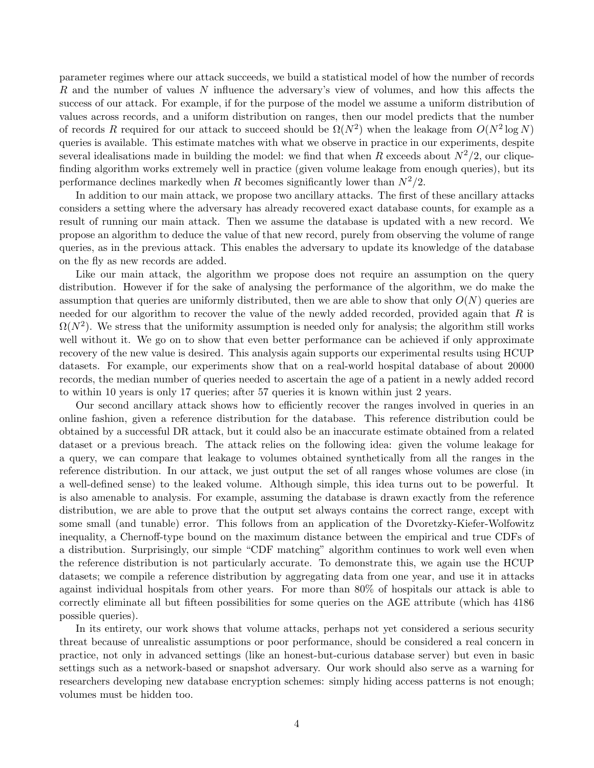parameter regimes where our attack succeeds, we build a statistical model of how the number of records R and the number of values N influence the adversary's view of volumes, and how this affects the success of our attack. For example, if for the purpose of the model we assume a uniform distribution of values across records, and a uniform distribution on ranges, then our model predicts that the number of records R required for our attack to succeed should be  $\Omega(N^2)$  when the leakage from  $O(N^2 \log N)$ queries is available. This estimate matches with what we observe in practice in our experiments, despite several idealisations made in building the model: we find that when R exceeds about  $N^2/2$ , our cliquefinding algorithm works extremely well in practice (given volume leakage from enough queries), but its performance declines markedly when R becomes significantly lower than  $N^2/2$ .

In addition to our main attack, we propose two ancillary attacks. The first of these ancillary attacks considers a setting where the adversary has already recovered exact database counts, for example as a result of running our main attack. Then we assume the database is updated with a new record. We propose an algorithm to deduce the value of that new record, purely from observing the volume of range queries, as in the previous attack. This enables the adversary to update its knowledge of the database on the fly as new records are added.

Like our main attack, the algorithm we propose does not require an assumption on the query distribution. However if for the sake of analysing the performance of the algorithm, we do make the assumption that queries are uniformly distributed, then we are able to show that only  $O(N)$  queries are needed for our algorithm to recover the value of the newly added recorded, provided again that  $R$  is  $\Omega(N^2)$ . We stress that the uniformity assumption is needed only for analysis; the algorithm still works well without it. We go on to show that even better performance can be achieved if only approximate recovery of the new value is desired. This analysis again supports our experimental results using HCUP datasets. For example, our experiments show that on a real-world hospital database of about 20000 records, the median number of queries needed to ascertain the age of a patient in a newly added record to within 10 years is only 17 queries; after 57 queries it is known within just 2 years.

Our second ancillary attack shows how to efficiently recover the ranges involved in queries in an online fashion, given a reference distribution for the database. This reference distribution could be obtained by a successful DR attack, but it could also be an inaccurate estimate obtained from a related dataset or a previous breach. The attack relies on the following idea: given the volume leakage for a query, we can compare that leakage to volumes obtained synthetically from all the ranges in the reference distribution. In our attack, we just output the set of all ranges whose volumes are close (in a well-defined sense) to the leaked volume. Although simple, this idea turns out to be powerful. It is also amenable to analysis. For example, assuming the database is drawn exactly from the reference distribution, we are able to prove that the output set always contains the correct range, except with some small (and tunable) error. This follows from an application of the Dvoretzky-Kiefer-Wolfowitz inequality, a Chernoff-type bound on the maximum distance between the empirical and true CDFs of a distribution. Surprisingly, our simple "CDF matching" algorithm continues to work well even when the reference distribution is not particularly accurate. To demonstrate this, we again use the HCUP datasets; we compile a reference distribution by aggregating data from one year, and use it in attacks against individual hospitals from other years. For more than 80% of hospitals our attack is able to correctly eliminate all but fifteen possibilities for some queries on the AGE attribute (which has 4186 possible queries).

In its entirety, our work shows that volume attacks, perhaps not yet considered a serious security threat because of unrealistic assumptions or poor performance, should be considered a real concern in practice, not only in advanced settings (like an honest-but-curious database server) but even in basic settings such as a network-based or snapshot adversary. Our work should also serve as a warning for researchers developing new database encryption schemes: simply hiding access patterns is not enough; volumes must be hidden too.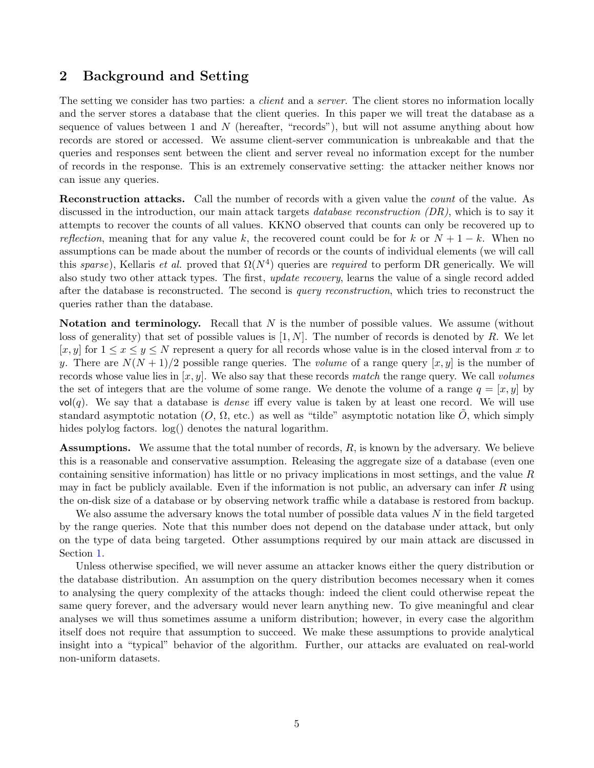## <span id="page-4-0"></span>2 Background and Setting

The setting we consider has two parties: a *client* and a *server*. The client stores no information locally and the server stores a database that the client queries. In this paper we will treat the database as a sequence of values between 1 and  $N$  (hereafter, "records"), but will not assume anything about how records are stored or accessed. We assume client-server communication is unbreakable and that the queries and responses sent between the client and server reveal no information except for the number of records in the response. This is an extremely conservative setting: the attacker neither knows nor can issue any queries.

Reconstruction attacks. Call the number of records with a given value the count of the value. As discussed in the introduction, our main attack targets *database reconstruction*  $(DR)$ , which is to say it attempts to recover the counts of all values. KKNO observed that counts can only be recovered up to reflection, meaning that for any value k, the recovered count could be for k or  $N + 1 - k$ . When no assumptions can be made about the number of records or the counts of individual elements (we will call this sparse), Kellaris et al. proved that  $\Omega(N^4)$  queries are required to perform DR generically. We will also study two other attack types. The first, update recovery, learns the value of a single record added after the database is reconstructed. The second is *query reconstruction*, which tries to reconstruct the queries rather than the database.

**Notation and terminology.** Recall that  $N$  is the number of possible values. We assume (without loss of generality) that set of possible values is  $[1, N]$ . The number of records is denoted by R. We let  $[x, y]$  for  $1 \le x \le y \le N$  represent a query for all records whose value is in the closed interval from x to y. There are  $N(N+1)/2$  possible range queries. The volume of a range query  $[x, y]$  is the number of records whose value lies in  $[x, y]$ . We also say that these records match the range query. We call volumes the set of integers that are the volume of some range. We denote the volume of a range  $q = [x, y]$  by  $vol(q)$ . We say that a database is *dense* iff every value is taken by at least one record. We will use standard asymptotic notation ( $O, \Omega$ , etc.) as well as "tilde" asymptotic notation like O, which simply hides polylog factors.  $log()$  denotes the natural logarithm.

**Assumptions.** We assume that the total number of records,  $R$ , is known by the adversary. We believe this is a reasonable and conservative assumption. Releasing the aggregate size of a database (even one containing sensitive information) has little or no privacy implications in most settings, and the value  $R$ may in fact be publicly available. Even if the information is not public, an adversary can infer  $R$  using the on-disk size of a database or by observing network traffic while a database is restored from backup.

We also assume the adversary knows the total number of possible data values N in the field targeted by the range queries. Note that this number does not depend on the database under attack, but only on the type of data being targeted. Other assumptions required by our main attack are discussed in Section [1.](#page-0-0)

Unless otherwise specified, we will never assume an attacker knows either the query distribution or the database distribution. An assumption on the query distribution becomes necessary when it comes to analysing the query complexity of the attacks though: indeed the client could otherwise repeat the same query forever, and the adversary would never learn anything new. To give meaningful and clear analyses we will thus sometimes assume a uniform distribution; however, in every case the algorithm itself does not require that assumption to succeed. We make these assumptions to provide analytical insight into a "typical" behavior of the algorithm. Further, our attacks are evaluated on real-world non-uniform datasets.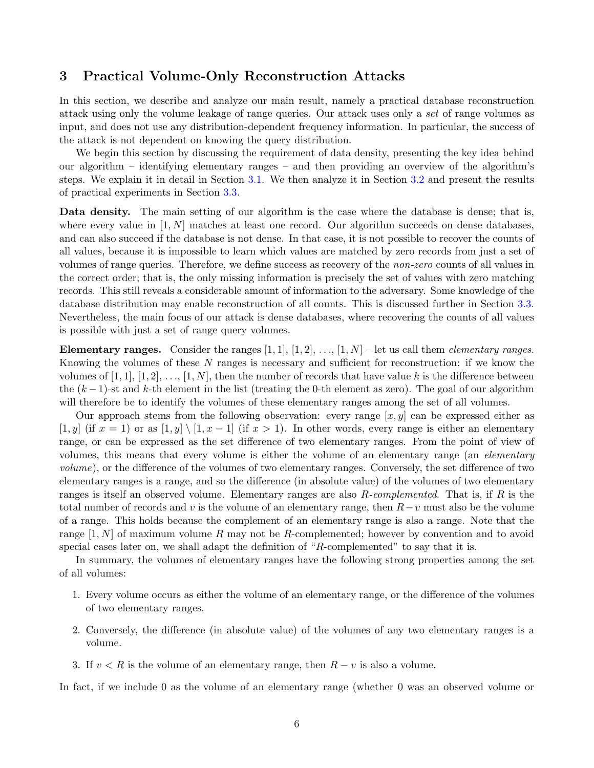## <span id="page-5-3"></span>3 Practical Volume-Only Reconstruction Attacks

In this section, we describe and analyze our main result, namely a practical database reconstruction attack using only the volume leakage of range queries. Our attack uses only a set of range volumes as input, and does not use any distribution-dependent frequency information. In particular, the success of the attack is not dependent on knowing the query distribution.

We begin this section by discussing the requirement of data density, presenting the key idea behind our algorithm – identifying elementary ranges – and then providing an overview of the algorithm's steps. We explain it in detail in Section [3.1.](#page-6-0) We then analyze it in Section [3.2](#page-10-0) and present the results of practical experiments in Section [3.3.](#page-12-0)

Data density. The main setting of our algorithm is the case where the database is dense; that is, where every value in  $[1, N]$  matches at least one record. Our algorithm succeeds on dense databases, and can also succeed if the database is not dense. In that case, it is not possible to recover the counts of all values, because it is impossible to learn which values are matched by zero records from just a set of volumes of range queries. Therefore, we define success as recovery of the non-zero counts of all values in the correct order; that is, the only missing information is precisely the set of values with zero matching records. This still reveals a considerable amount of information to the adversary. Some knowledge of the database distribution may enable reconstruction of all counts. This is discussed further in Section [3.3.](#page-12-0) Nevertheless, the main focus of our attack is dense databases, where recovering the counts of all values is possible with just a set of range query volumes.

**Elementary ranges.** Consider the ranges  $[1, 1], [1, 2], \ldots, [1, N]$  – let us call them *elementary ranges*. Knowing the volumes of these N ranges is necessary and sufficient for reconstruction: if we know the volumes of  $[1, 1], [1, 2], \ldots, [1, N]$ , then the number of records that have value k is the difference between the  $(k-1)$ -st and k-th element in the list (treating the 0-th element as zero). The goal of our algorithm will therefore be to identify the volumes of these elementary ranges among the set of all volumes.

Our approach stems from the following observation: every range  $[x, y]$  can be expressed either as  $[1, y]$  (if  $x = 1$ ) or as  $[1, y] \setminus [1, x - 1]$  (if  $x > 1$ ). In other words, every range is either an elementary range, or can be expressed as the set difference of two elementary ranges. From the point of view of volumes, this means that every volume is either the volume of an elementary range (an elementary volume), or the difference of the volumes of two elementary ranges. Conversely, the set difference of two elementary ranges is a range, and so the difference (in absolute value) of the volumes of two elementary ranges is itself an observed volume. Elementary ranges are also  $R$ -complemented. That is, if  $R$  is the total number of records and v is the volume of an elementary range, then  $R-v$  must also be the volume of a range. This holds because the complement of an elementary range is also a range. Note that the range  $[1, N]$  of maximum volume R may not be R-complemented; however by convention and to avoid special cases later on, we shall adapt the definition of "R-complemented" to say that it is.

In summary, the volumes of elementary ranges have the following strong properties among the set of all volumes:

- <span id="page-5-1"></span>1. Every volume occurs as either the volume of an elementary range, or the difference of the volumes of two elementary ranges.
- <span id="page-5-2"></span>2. Conversely, the difference (in absolute value) of the volumes of any two elementary ranges is a volume.
- <span id="page-5-0"></span>3. If  $v < R$  is the volume of an elementary range, then  $R - v$  is also a volume.

In fact, if we include 0 as the volume of an elementary range (whether 0 was an observed volume or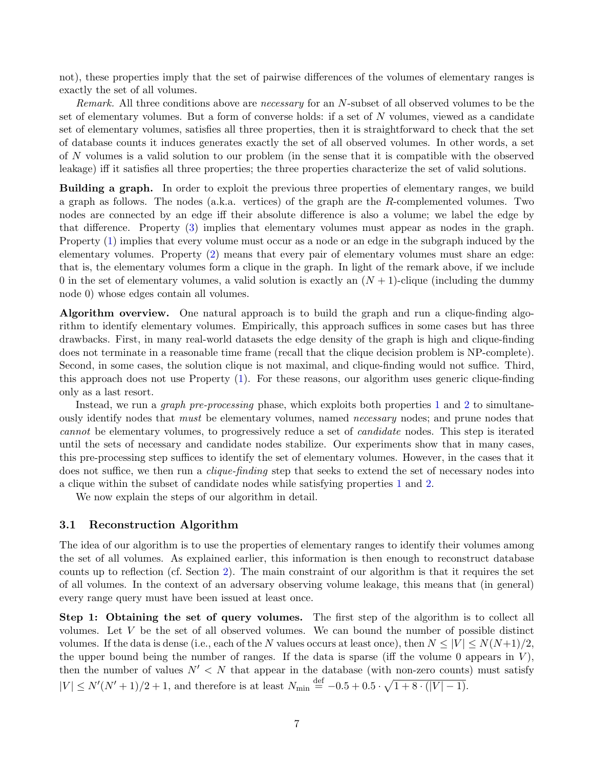not), these properties imply that the set of pairwise differences of the volumes of elementary ranges is exactly the set of all volumes.

Remark. All three conditions above are *necessary* for an N-subset of all observed volumes to be the set of elementary volumes. But a form of converse holds: if a set of N volumes, viewed as a candidate set of elementary volumes, satisfies all three properties, then it is straightforward to check that the set of database counts it induces generates exactly the set of all observed volumes. In other words, a set of N volumes is a valid solution to our problem (in the sense that it is compatible with the observed leakage) iff it satisfies all three properties; the three properties characterize the set of valid solutions.

Building a graph. In order to exploit the previous three properties of elementary ranges, we build a graph as follows. The nodes (a.k.a. vertices) of the graph are the R-complemented volumes. Two nodes are connected by an edge iff their absolute difference is also a volume; we label the edge by that difference. Property [\(3\)](#page-5-0) implies that elementary volumes must appear as nodes in the graph. Property [\(1\)](#page-5-1) implies that every volume must occur as a node or an edge in the subgraph induced by the elementary volumes. Property [\(2\)](#page-5-2) means that every pair of elementary volumes must share an edge: that is, the elementary volumes form a clique in the graph. In light of the remark above, if we include 0 in the set of elementary volumes, a valid solution is exactly an  $(N + 1)$ -clique (including the dummy node 0) whose edges contain all volumes.

Algorithm overview. One natural approach is to build the graph and run a clique-finding algorithm to identify elementary volumes. Empirically, this approach suffices in some cases but has three drawbacks. First, in many real-world datasets the edge density of the graph is high and clique-finding does not terminate in a reasonable time frame (recall that the clique decision problem is NP-complete). Second, in some cases, the solution clique is not maximal, and clique-finding would not suffice. Third, this approach does not use Property [\(1\)](#page-5-1). For these reasons, our algorithm uses generic clique-finding only as a last resort.

Instead, we run a graph pre-processing phase, which exploits both properties [1](#page-5-1) and [2](#page-5-2) to simultaneously identify nodes that *must* be elementary volumes, named *necessary* nodes; and prune nodes that cannot be elementary volumes, to progressively reduce a set of candidate nodes. This step is iterated until the sets of necessary and candidate nodes stabilize. Our experiments show that in many cases, this pre-processing step suffices to identify the set of elementary volumes. However, in the cases that it does not suffice, we then run a *clique-finding* step that seeks to extend the set of necessary nodes into a clique within the subset of candidate nodes while satisfying properties [1](#page-5-1) and [2.](#page-5-2)

We now explain the steps of our algorithm in detail.

### <span id="page-6-0"></span>3.1 Reconstruction Algorithm

The idea of our algorithm is to use the properties of elementary ranges to identify their volumes among the set of all volumes. As explained earlier, this information is then enough to reconstruct database counts up to reflection (cf. Section [2\)](#page-4-0). The main constraint of our algorithm is that it requires the set of all volumes. In the context of an adversary observing volume leakage, this means that (in general) every range query must have been issued at least once.

Step 1: Obtaining the set of query volumes. The first step of the algorithm is to collect all volumes. Let V be the set of all observed volumes. We can bound the number of possible distinct volumes. If the data is dense (i.e., each of the N values occurs at least once), then  $N \leq |V| \leq N(N+1)/2$ , the upper bound being the number of ranges. If the data is sparse (iff the volume 0 appears in  $V$ ), then the number of values  $N' < N$  that appear in the database (with non-zero counts) must satisfy  $|V| \le N'(N'+1)/2 + 1$ , and therefore is at least  $N_{\min} \stackrel{\text{def}}{=} -0.5 + 0.5 \cdot \sqrt{1 + 8 \cdot (|V| - 1)}$ .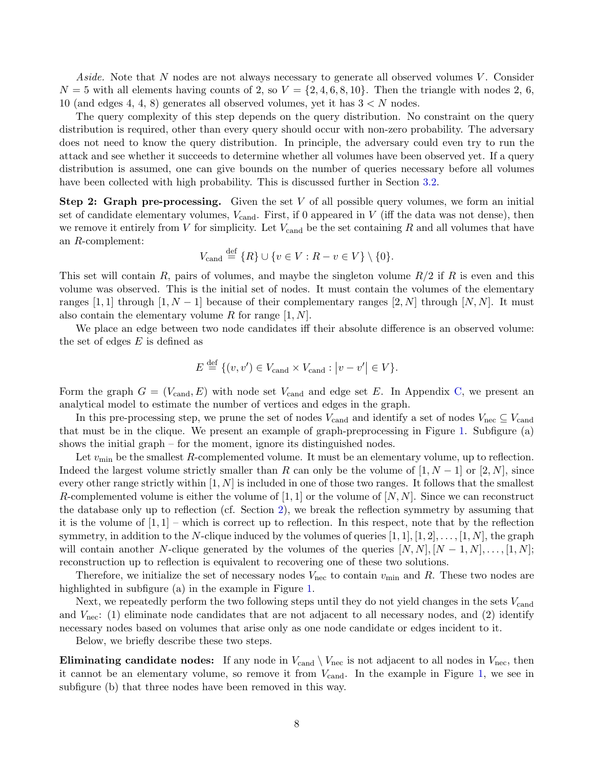Aside. Note that N nodes are not always necessary to generate all observed volumes V. Consider  $N = 5$  with all elements having counts of 2, so  $V = \{2, 4, 6, 8, 10\}$ . Then the triangle with nodes 2, 6, 10 (and edges 4, 4, 8) generates all observed volumes, yet it has  $3 < N$  nodes.

The query complexity of this step depends on the query distribution. No constraint on the query distribution is required, other than every query should occur with non-zero probability. The adversary does not need to know the query distribution. In principle, the adversary could even try to run the attack and see whether it succeeds to determine whether all volumes have been observed yet. If a query distribution is assumed, one can give bounds on the number of queries necessary before all volumes have been collected with high probability. This is discussed further in Section [3.2.](#page-10-0)

**Step 2: Graph pre-processing.** Given the set  $V$  of all possible query volumes, we form an initial set of candidate elementary volumes,  $V_{\text{cand}}$ . First, if 0 appeared in V (iff the data was not dense), then we remove it entirely from V for simplicity. Let  $V_{\text{cand}}$  be the set containing R and all volumes that have an R-complement:

$$
V_{\text{cand}} \stackrel{\text{def}}{=} \{R\} \cup \{v \in V : R - v \in V\} \setminus \{0\}.
$$

This set will contain R, pairs of volumes, and maybe the singleton volume  $R/2$  if R is even and this volume was observed. This is the initial set of nodes. It must contain the volumes of the elementary ranges [1, 1] through [1, N – 1] because of their complementary ranges [2, N] through [N, N]. It must also contain the elementary volume R for range  $[1, N]$ .

We place an edge between two node candidates iff their absolute difference is an observed volume: the set of edges  $E$  is defined as

$$
E \stackrel{\text{def}}{=} \{ (v, v') \in V_{\text{cand}} \times V_{\text{cand}} : |v - v'| \in V \}.
$$

Form the graph  $G = (V_{\text{cand}}, E)$  with node set  $V_{\text{cand}}$  and edge set E. In Appendix [C,](#page-31-0) we present an analytical model to estimate the number of vertices and edges in the graph.

In this pre-processing step, we prune the set of nodes  $V_{\text{cand}}$  and identify a set of nodes  $V_{\text{nec}} \subseteq V_{\text{cand}}$ that must be in the clique. We present an example of graph-preprocessing in Figure [1.](#page-8-0) Subfigure (a) shows the initial graph – for the moment, ignore its distinguished nodes.

Let  $v_{\text{min}}$  be the smallest R-complemented volume. It must be an elementary volume, up to reflection. Indeed the largest volume strictly smaller than R can only be the volume of  $[1, N-1]$  or  $[2, N]$ , since every other range strictly within  $[1, N]$  is included in one of those two ranges. It follows that the smallest R-complemented volume is either the volume of  $[1, 1]$  or the volume of  $[N, N]$ . Since we can reconstruct the database only up to reflection (cf. Section [2\)](#page-4-0), we break the reflection symmetry by assuming that it is the volume of  $[1, 1]$  – which is correct up to reflection. In this respect, note that by the reflection symmetry, in addition to the N-clique induced by the volumes of queries  $[1, 1], [1, 2], \ldots, [1, N]$ , the graph will contain another N-clique generated by the volumes of the queries  $[N, N], [N-1, N], \ldots, [1, N]$ ; reconstruction up to reflection is equivalent to recovering one of these two solutions.

Therefore, we initialize the set of necessary nodes  $V_{\text{nec}}$  to contain  $v_{\text{min}}$  and R. These two nodes are highlighted in subfigure (a) in the example in Figure [1.](#page-8-0)

Next, we repeatedly perform the two following steps until they do not yield changes in the sets  $V_{\text{cand}}$ and  $V_{\text{nec}}$ : (1) eliminate node candidates that are not adjacent to all necessary nodes, and (2) identify necessary nodes based on volumes that arise only as one node candidate or edges incident to it.

Below, we briefly describe these two steps.

Eliminating candidate nodes: If any node in  $V_{\text{cand}} \setminus V_{\text{nec}}$  is not adjacent to all nodes in  $V_{\text{nec}}$ , then it cannot be an elementary volume, so remove it from  $V_{\text{cand}}$ . In the example in Figure [1,](#page-8-0) we see in subfigure (b) that three nodes have been removed in this way.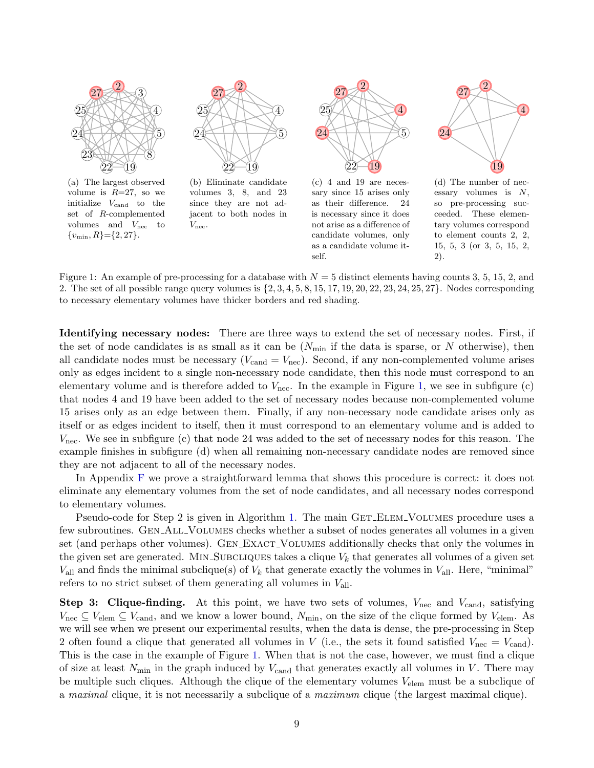<span id="page-8-0"></span>

4

Figure 1: An example of pre-processing for a database with  $N = 5$  distinct elements having counts 3, 5, 15, 2, and 2. The set of all possible range query volumes is {2, 3, 4, 5, 8, 15, 17, 19, 20, 22, 23, 24, 25, 27}. Nodes corresponding to necessary elementary volumes have thicker borders and red shading.

Identifying necessary nodes: There are three ways to extend the set of necessary nodes. First, if the set of node candidates is as small as it can be  $(N_{\text{min}}$  if the data is sparse, or N otherwise), then all candidate nodes must be necessary  $(V_{\text{cand}} = V_{\text{nec}})$ . Second, if any non-complemented volume arises only as edges incident to a single non-necessary node candidate, then this node must correspond to an elementary volume and is therefore added to  $V_{\text{nec}}$ . In the example in Figure [1,](#page-8-0) we see in subfigure (c) that nodes 4 and 19 have been added to the set of necessary nodes because non-complemented volume 15 arises only as an edge between them. Finally, if any non-necessary node candidate arises only as itself or as edges incident to itself, then it must correspond to an elementary volume and is added to  $V_{\text{nec}}$ . We see in subfigure (c) that node 24 was added to the set of necessary nodes for this reason. The example finishes in subfigure (d) when all remaining non-necessary candidate nodes are removed since they are not adjacent to all of the necessary nodes.

In Appendix [F](#page-38-0) we prove a straightforward lemma that shows this procedure is correct: it does not eliminate any elementary volumes from the set of node candidates, and all necessary nodes correspond to elementary volumes.

Pseudo-code for Step 2 is given in Algorithm [1.](#page-9-0) The main GET\_ELEM\_VOLUMES procedure uses a few subroutines. GEN\_ALL\_VOLUMES checks whether a subset of nodes generates all volumes in a given set (and perhaps other volumes). GEN\_EXACT\_VOLUMES additionally checks that only the volumes in the given set are generated. MIN\_SUBCLIQUES takes a clique  $V_k$  that generates all volumes of a given set  $V_{\text{all}}$  and finds the minimal subclique(s) of  $V_k$  that generate exactly the volumes in  $V_{\text{all}}$ . Here, "minimal" refers to no strict subset of them generating all volumes in  $V_{all}$ .

Step 3: Clique-finding. At this point, we have two sets of volumes,  $V_{\text{nec}}$  and  $V_{\text{cand}}$ , satisfying  $V_{\text{nec}} \subseteq V_{\text{elem}} \subseteq V_{\text{cand}}$ , and we know a lower bound,  $N_{\text{min}}$ , on the size of the clique formed by  $V_{\text{elem}}$ . As we will see when we present our experimental results, when the data is dense, the pre-processing in Step 2 often found a clique that generated all volumes in V (i.e., the sets it found satisfied  $V_{\text{nec}} = V_{\text{cand}}$ ). This is the case in the example of Figure [1.](#page-8-0) When that is not the case, however, we must find a clique of size at least  $N_{\text{min}}$  in the graph induced by  $V_{\text{cand}}$  that generates exactly all volumes in V. There may be multiple such cliques. Although the clique of the elementary volumes  $V_{\text{elem}}$  must be a subclique of a maximal clique, it is not necessarily a subclique of a maximum clique (the largest maximal clique).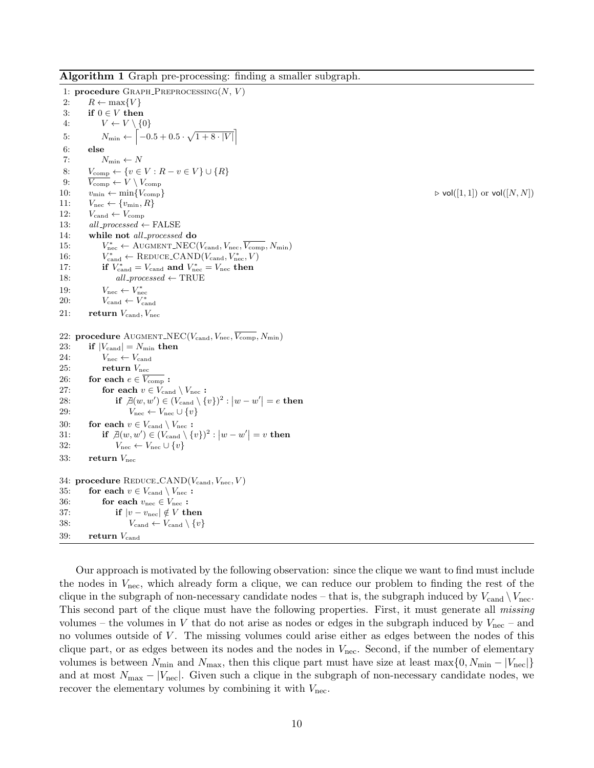<span id="page-9-0"></span>Algorithm 1 Graph pre-processing: finding a smaller subgraph.

<span id="page-9-14"></span><span id="page-9-13"></span><span id="page-9-9"></span><span id="page-9-8"></span><span id="page-9-7"></span><span id="page-9-6"></span><span id="page-9-5"></span><span id="page-9-4"></span><span id="page-9-3"></span><span id="page-9-2"></span><span id="page-9-1"></span>1: procedure  $\text{GRAPH\_PREPROCESSING}(N, V)$ 2:  $R \leftarrow \max\{V\}$ 3: if  $0 \in V$  then 4:  $V \leftarrow V \setminus \{0\}$ 5:  $N_{\text{min}} \leftarrow \left[ -0.5 + 0.5 \cdot \sqrt{1 + 8 \cdot |V|} \right]$ 6: else 7:  $N_{\min} \leftarrow N$ 8:  $V_{\text{comp}} \leftarrow \{v \in V : R - v \in V\} \cup \{R\}$ 9:  $\overline{V_{\text{comp}}} \leftarrow V \setminus V_{\text{comp}}$ 10:  $v_{\min} \leftarrow \min\{V_{\text{comp}}\}$   $\triangleright \text{vol}([1, 1])$  or  $\text{vol}([N, N])$ 11:  $V_{\text{nec}} \leftarrow \{v_{\text{min}}, R\}$ 12:  $V_{\text{cand}} \leftarrow V_{\text{comp}}$ 13:  $all\_processed \leftarrow FALSE$ 14: while not all processed do  $15:$  $r_{\text{nec}}^* \leftarrow \text{AugMENT\_NEC}(V_{\text{cand}}, V_{\text{nec}}, \overline{V_{\text{comp}}}, N_{\text{min}})$ 16:  $v_{\text{cand}}^* \leftarrow \text{REDUCE\_CAND}(V_{\text{cand}}, V_{\text{nec}}^*, V)$ 17: if  $V_{\text{cand}}^* = V_{\text{cand}}$  and  $V_{\text{nec}}^* = V_{\text{nec}}$  then 18:  $all\_processed \leftarrow TRUE$ 19:  $V_{\text{nec}} \leftarrow V_{\text{nec}}^*$ 20:  $V_{\text{cand}} \leftarrow V_{\text{cand}}^*$ 21: return  $V_{\text{cand}}$ ,  $V_{\text{nec}}$ 22: procedure AUGMENT\_NEC( $V_{\text{cand}}, V_{\text{nec}}, \overline{V_{\text{comp}}}, N_{\text{min}}$ ) 23: if  $|V_{\text{cand}}| = N_{\text{min}}$  then 24:  $V_{\text{nec}} \leftarrow V_{\text{cand}}$ 25: return  $V_{\text{nec}}$ 26: for each  $e \in \overline{V_{\text{comp}}}$ : 27: for each  $v \in V_{\text{cand}} \setminus V_{\text{nec}}$ : 28:  $\qquad \qquad \textbf{if} \ \not\exists (w,w')\in (V_{\text{cand}}\setminus\{v\})^2:|w-w'|=e\textbf{ then}$ 29:  $V_{\text{nec}} \leftarrow V_{\text{nec}} \cup \{v\}$ 30: for each  $v \in V_{\text{cand}} \setminus V_{\text{nec}}$ : 31: if  $\mathcal{A}(w, w') \in (V_{\text{cand}} \setminus \{v\})^2 : |w - w'| = v$  then 32:  $V_{\text{nec}} \leftarrow V_{\text{nec}} \cup \{v\}$ 33: return  $V_{\text{nec}}$ 34: procedure REDUCE\_CAND $(V_{\text{cand}}, V_{\text{nec}}, V)$ 35: for each  $v \in V_{\text{cand}} \setminus V_{\text{nec}}$ : 36: for each  $v_{\text{nec}} \in V_{\text{nec}}$ : 37: if  $|v - v_{\text{nec}}| \notin V$  then 38:  $V_{\text{cand}} \leftarrow V_{\text{cand}} \setminus \{v\}$ 39: return  $V_{\text{cand}}$ 

<span id="page-9-15"></span><span id="page-9-12"></span><span id="page-9-11"></span><span id="page-9-10"></span>Our approach is motivated by the following observation: since the clique we want to find must include the nodes in  $V_{\text{nec}}$ , which already form a clique, we can reduce our problem to finding the rest of the clique in the subgraph of non-necessary candidate nodes – that is, the subgraph induced by  $V_{\text{cand}} \setminus V_{\text{nec}}$ . This second part of the clique must have the following properties. First, it must generate all *missing* volumes – the volumes in V that do not arise as nodes or edges in the subgraph induced by  $V_{\text{nec}}$  – and no volumes outside of V. The missing volumes could arise either as edges between the nodes of this clique part, or as edges between its nodes and the nodes in  $V_{\text{nec}}$ . Second, if the number of elementary volumes is between  $N_{\text{min}}$  and  $N_{\text{max}}$ , then this clique part must have size at least max $\{0, N_{\text{min}} - |V_{\text{nec}}|\}$ and at most  $N_{\text{max}} - |V_{\text{rec}}|$ . Given such a clique in the subgraph of non-necessary candidate nodes, we recover the elementary volumes by combining it with  $V_{\text{nec}}$ .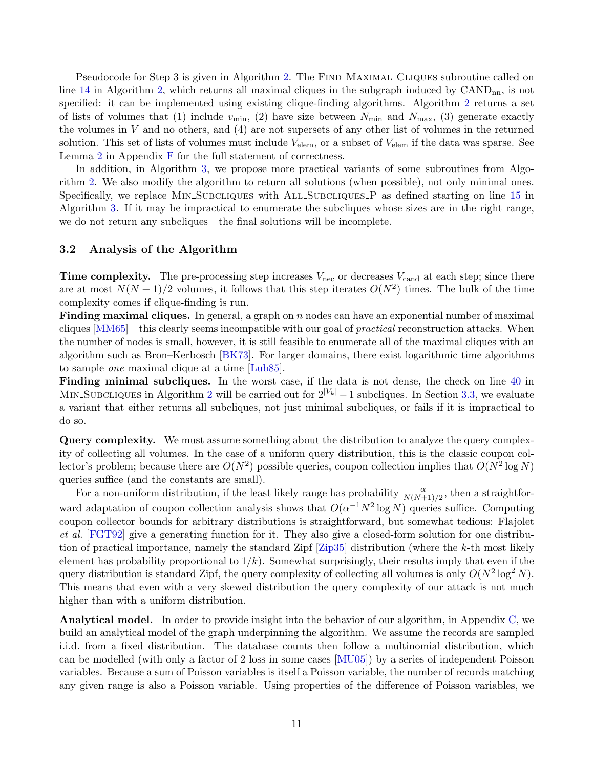Pseudocode for Step 3 is given in Algorithm [2.](#page-11-0) The FIND\_MAXIMAL\_CLIQUES subroutine called on line [14](#page-9-1) in Algorithm [2,](#page-11-0) which returns all maximal cliques in the subgraph induced by  $CAND_{nn}$ , is not specified: it can be implemented using existing clique-finding algorithms. Algorithm [2](#page-11-0) returns a set of lists of volumes that (1) include  $v_{\rm min}$ , (2) have size between  $N_{\rm min}$  and  $N_{\rm max}$ , (3) generate exactly the volumes in  $V$  and no others, and  $(4)$  are not supersets of any other list of volumes in the returned solution. This set of lists of volumes must include  $V_{\text{elem}}$ , or a subset of  $V_{\text{elem}}$  if the data was sparse. See Lemma [2](#page-38-1) in Appendix [F](#page-38-0) for the full statement of correctness.

In addition, in Algorithm [3,](#page-12-1) we propose more practical variants of some subroutines from Algorithm [2.](#page-11-0) We also modify the algorithm to return all solutions (when possible), not only minimal ones. Specifically, we replace MIN\_SUBCLIQUES with ALL\_SUBCLIQUES\_P as defined starting on line [15](#page-9-2) in Algorithm [3.](#page-12-1) If it may be impractical to enumerate the subcliques whose sizes are in the right range, we do not return any subcliques—the final solutions will be incomplete.

### <span id="page-10-0"></span>3.2 Analysis of the Algorithm

**Time complexity.** The pre-processing step increases  $V_{\text{nec}}$  or decreases  $V_{\text{cand}}$  at each step; since there are at most  $N(N+1)/2$  volumes, it follows that this step iterates  $O(N^2)$  times. The bulk of the time complexity comes if clique-finding is run.

Finding maximal cliques. In general, a graph on n nodes can have an exponential number of maximal cliques [\[MM65\]](#page-25-5) – this clearly seems incompatible with our goal of practical reconstruction attacks. When the number of nodes is small, however, it is still feasible to enumerate all of the maximal cliques with an algorithm such as Bron–Kerbosch [\[BK73\]](#page-24-4). For larger domains, there exist logarithmic time algorithms to sample one maximal clique at a time [\[Lub85\]](#page-25-6).

Finding minimal subcliques. In the worst case, if the data is not dense, the check on line [40](#page-11-1) in MIN\_SUBCLIQUES in Algorithm [2](#page-11-0) will be carried out for  $2^{|V_k|}-1$  subcliques. In Section [3.3,](#page-12-0) we evaluate a variant that either returns all subcliques, not just minimal subcliques, or fails if it is impractical to do so.

Query complexity. We must assume something about the distribution to analyze the query complexity of collecting all volumes. In the case of a uniform query distribution, this is the classic coupon collector's problem; because there are  $O(N^2)$  possible queries, coupon collection implies that  $O(N^2 \log N)$ queries suffice (and the constants are small).

For a non-uniform distribution, if the least likely range has probability  $\frac{\alpha}{N(N+1)/2}$ , then a straightforward adaptation of coupon collection analysis shows that  $O(\alpha^{-1}N^2 \log N)$  queries suffice. Computing coupon collector bounds for arbitrary distributions is straightforward, but somewhat tedious: Flajolet et al. [\[FGT92\]](#page-24-5) give a generating function for it. They also give a closed-form solution for one distribution of practical importance, namely the standard Zipf [\[Zip35\]](#page-25-7) distribution (where the k-th most likely element has probability proportional to  $1/k$ ). Somewhat surprisingly, their results imply that even if the query distribution is standard Zipf, the query complexity of collecting all volumes is only  $O(N^2 \log^2 N)$ . This means that even with a very skewed distribution the query complexity of our attack is not much higher than with a uniform distribution.

Analytical model. In order to provide insight into the behavior of our algorithm, in Appendix [C,](#page-31-0) we build an analytical model of the graph underpinning the algorithm. We assume the records are sampled i.i.d. from a fixed distribution. The database counts then follow a multinomial distribution, which can be modelled (with only a factor of 2 loss in some cases [\[MU05\]](#page-25-8)) by a series of independent Poisson variables. Because a sum of Poisson variables is itself a Poisson variable, the number of records matching any given range is also a Poisson variable. Using properties of the difference of Poisson variables, we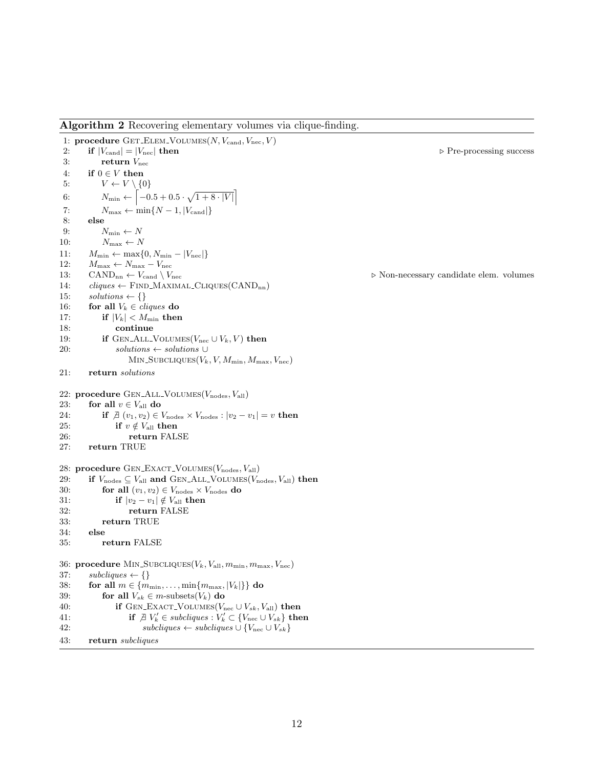<span id="page-11-0"></span>Algorithm 2 Recovering elementary volumes via clique-finding.

<span id="page-11-2"></span><span id="page-11-1"></span>

|     | 1: procedure GET_ELEM_VOLUMES $(N, V_{\text{cand}}, V_{\text{nec}}, V)$                                       |                                                        |
|-----|---------------------------------------------------------------------------------------------------------------|--------------------------------------------------------|
| 2:  | if $ V_{\text{cand}}  =  V_{\text{nec}} $ then                                                                | $\triangleright$ Pre-processing success                |
| 3:  | return $V_{\text{nec}}$                                                                                       |                                                        |
| 4:  | if $0 \in V$ then                                                                                             |                                                        |
| 5:  | $V \leftarrow V \setminus \{0\}$                                                                              |                                                        |
| 6:  | $N_{\min} \leftarrow \left[ -0.5 + 0.5 \cdot \sqrt{1 + 8 \cdot  V } \right]$                                  |                                                        |
| 7:  | $N_{\text{max}} \leftarrow \min\{N-1,  V_{\text{cand}} \}$                                                    |                                                        |
| 8:  | else                                                                                                          |                                                        |
| 9:  | $N_{\min} \leftarrow N$                                                                                       |                                                        |
| 10: | $N_{\max} \leftarrow N$                                                                                       |                                                        |
| 11: | $M_{\min} \leftarrow \max\{0, N_{\min} -  V_{\text{rec}} \}$                                                  |                                                        |
| 12: | $M_{\text{max}} \leftarrow N_{\text{max}} - V_{\text{nec}}$                                                   |                                                        |
| 13: | $\mathrm{CAND}_{nn} \leftarrow V_{\mathrm{cand}} \setminus V_{\mathrm{nec}}$                                  | $\triangleright$ Non-necessary candidate elem. volumes |
| 14: | $cliques \leftarrow$ FIND_MAXIMAL_CLIQUES(CAND <sub>nn</sub> )                                                |                                                        |
| 15: | $solutions \leftarrow \{\}$                                                                                   |                                                        |
| 16: | for all $V_k \in \text{cliques}$ do                                                                           |                                                        |
| 17: | if $ V_k  < M_{\min}$ then                                                                                    |                                                        |
| 18: | continue                                                                                                      |                                                        |
| 19: | if GEN_ALL_VOLUMES( $V_{\text{nec}} \cup V_k$ , V) then                                                       |                                                        |
| 20: | $solutions \leftarrow solutions \cup$                                                                         |                                                        |
|     | MIN_SUBCLIQUES $(V_k, V, M_{\min}, M_{\max}, V_{\text{rec}})$                                                 |                                                        |
| 21: | return solutions                                                                                              |                                                        |
|     | 22: procedure $GEN\_ALL\_VOLUMES(V_{nodes}, V_{all})$                                                         |                                                        |
| 23: | for all $v \in V_{\text{all}}$ do                                                                             |                                                        |
| 24: | if $\mathbb{Z}(v_1, v_2) \in V_{\text{nodes}} \times V_{\text{nodes}} :  v_2 - v_1  = v$ then                 |                                                        |
| 25: | if $v \notin V_{all}$ then                                                                                    |                                                        |
| 26: | return FALSE                                                                                                  |                                                        |
| 27: | return $\operatorname{TRUE}$                                                                                  |                                                        |
|     | 28: procedure GEN_EXACT_VOLUMES(V <sub>nodes</sub> , V <sub>all</sub> )                                       |                                                        |
| 29: | if $V_{\text{nodes}} \subseteq V_{\text{all}}$ and GEN_ALL_VOLUMES( $V_{\text{nodes}}, V_{\text{all}}$ ) then |                                                        |
| 30: | for all $(v_1, v_2) \in V_{\text{nodes}} \times V_{\text{nodes}}$ do                                          |                                                        |
| 31: | if $ v_2 - v_1  \notin V_{all}$ then                                                                          |                                                        |
| 32: | return FALSE                                                                                                  |                                                        |
| 33: | return TRUE                                                                                                   |                                                        |
| 34: | else                                                                                                          |                                                        |
| 35: | return FALSE                                                                                                  |                                                        |
|     | 36: procedure MIN_SUBCLIQUES( $V_k, V_{\text{all}}, m_{\text{min}}, m_{\text{max}}, V_{\text{nec}}$ )         |                                                        |
| 37: | $subcliques \leftarrow \{\}$                                                                                  |                                                        |
| 38: | for all $m \in \{m_{\min}, \ldots, \min\{m_{\max},  V_k \}\}$ do                                              |                                                        |
| 39: | for all $V_{sk} \in m$ -subsets $(V_k)$ do                                                                    |                                                        |
| 40: | if GEN_EXACT_VOLUMES( $V_{\text{nec}} \cup V_{sk}$ , $V_{\text{all}}$ ) then                                  |                                                        |
| 41: | if $\exists V'_k \in subcliques : V'_k \subset \{V_{\text{rec}} \cup V_{sk}\}\$ then                          |                                                        |
| 42: | $subcliques \leftarrow subcliques \cup \{V_{\text{nec}} \cup V_{sk}\}\$                                       |                                                        |
| 43: | return subcliques                                                                                             |                                                        |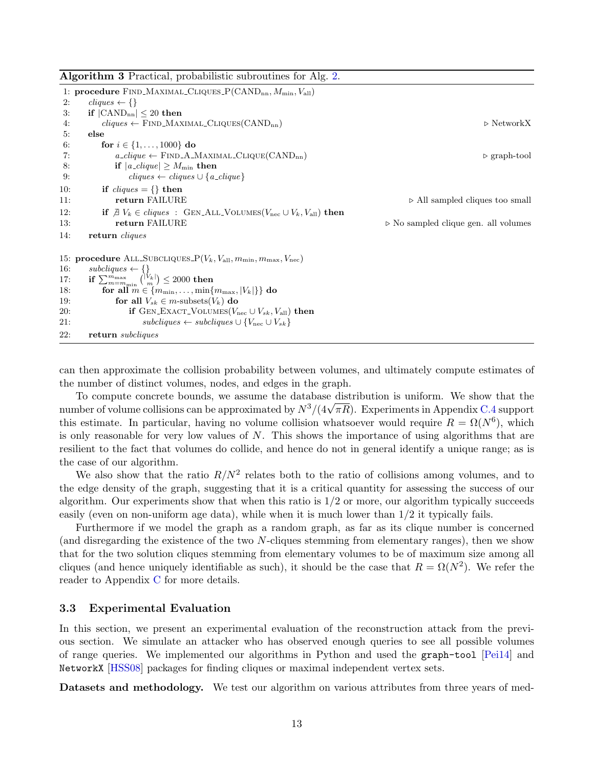<span id="page-12-1"></span>

|            | <b>Algorithm 3</b> Practical, probabilistic subroutines for Alg. 2.                              |                                                     |
|------------|--------------------------------------------------------------------------------------------------|-----------------------------------------------------|
|            | 1: procedure FIND_MAXIMAL_CLIQUES_P(CAND <sub>nn</sub> , $M_{\min}$ , $V_{\text{all}}$ )         |                                                     |
| 2:         | $cliques \leftarrow \{\}$                                                                        |                                                     |
| 3:         | if $ {\rm CAND}_{nn}  \leq 20$ then                                                              |                                                     |
| 4:         | $cliques \leftarrow$ FIND_MAXIMAL_CLIQUES(CAND <sub>nn</sub> )                                   | $\triangleright$ NetworkX                           |
| 5:         | else                                                                                             |                                                     |
| 6:         | for $i \in \{1, , 1000\}$ do                                                                     |                                                     |
| 7:         | $a\_clique \leftarrow$ FIND_A_MAXIMAL_CLIQUE(CAND <sub>nn</sub> )                                | $\triangleright$ graph-tool                         |
| 8:         | if $ a_c \textit{clique}  \geq M_{\min}$ then                                                    |                                                     |
| 9:         | $cliques \leftarrow cliques \cup \{a\_clique\}$                                                  |                                                     |
| 10:        | if $cliques = \{\}$ then                                                                         |                                                     |
| 11:        | return FAILURE                                                                                   | $\triangleright$ All sampled cliques too small      |
| 12:        | if $\exists V_k \in cliques$ : GEN_ALL_VOLUMES( $V_{\text{rec}} \cup V_k, V_{\text{all}}$ ) then |                                                     |
| 13:        | return FAILURE                                                                                   | $\triangleright$ No sampled clique gen. all volumes |
| 14:        | return cliques                                                                                   |                                                     |
|            | 15: procedure ALL_SUBCLIQUES_ $P(V_k, V_{all}, m_{min}, m_{max}, V_{\text{rec}})$                |                                                     |
| 16:        | $subcliques \leftarrow \{\}$                                                                     |                                                     |
| 17:        | if $\sum_{m=m_{\min}}^{m_{\max}} {\binom{\v V_k\r }{m}} \leq 2000$ then                          |                                                     |
| 18:        | for all $m \in \{m_{\min}, \ldots, \min\{m_{\max},  V_k \}\}\)$ do                               |                                                     |
| 19:        | for all $V_{sk} \in m$ -subsets $(V_k)$ do                                                       |                                                     |
| <b>20:</b> | if GEN_EXACT_VOLUMES( $V_{\text{nec}} \cup V_{sk}$ , $V_{\text{all}}$ ) then                     |                                                     |
| 21:        | $subcliques \leftarrow subcliques \cup \{V_{\text{nec}} \cup V_{sk}\}\$                          |                                                     |
| 22:        | return subcliques                                                                                |                                                     |

can then approximate the collision probability between volumes, and ultimately compute estimates of the number of distinct volumes, nodes, and edges in the graph.

To compute concrete bounds, we assume the database distribution is uniform. We show that the To compute concrete bounds, we assume the database distribution is uniform. We show that the number of volume collisions can be approximated by  $N^3/(4\sqrt{\pi R})$ . Experiments in Appendix [C.4](#page-35-0) support this estimate. In particular, having no volume collision whatsoever would require  $R = \Omega(N^6)$ , which is only reasonable for very low values of  $N$ . This shows the importance of using algorithms that are resilient to the fact that volumes do collide, and hence do not in general identify a unique range; as is the case of our algorithm.

We also show that the ratio  $R/N^2$  relates both to the ratio of collisions among volumes, and to the edge density of the graph, suggesting that it is a critical quantity for assessing the success of our algorithm. Our experiments show that when this ratio is  $1/2$  or more, our algorithm typically succeeds easily (even on non-uniform age data), while when it is much lower than  $1/2$  it typically fails.

Furthermore if we model the graph as a random graph, as far as its clique number is concerned (and disregarding the existence of the two N-cliques stemming from elementary ranges), then we show that for the two solution cliques stemming from elementary volumes to be of maximum size among all cliques (and hence uniquely identifiable as such), it should be the case that  $R = \Omega(N^2)$ . We refer the reader to Appendix [C](#page-31-0) for more details.

### <span id="page-12-0"></span>3.3 Experimental Evaluation

In this section, we present an experimental evaluation of the reconstruction attack from the previous section. We simulate an attacker who has observed enough queries to see all possible volumes of range queries. We implemented our algorithms in Python and used the graph-tool [\[Pei14\]](#page-25-9) and NetworkX [\[HSS08\]](#page-25-10) packages for finding cliques or maximal independent vertex sets.

Datasets and methodology. We test our algorithm on various attributes from three years of med-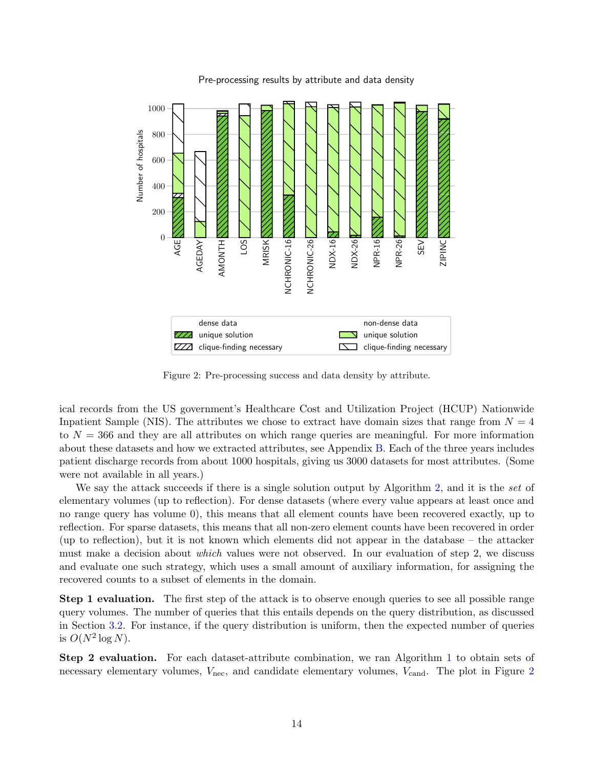<span id="page-13-0"></span>

Pre-processing results by attribute and data density

Figure 2: Pre-processing success and data density by attribute.

ical records from the US government's Healthcare Cost and Utilization Project (HCUP) Nationwide Inpatient Sample (NIS). The attributes we chose to extract have domain sizes that range from  $N = 4$ to  $N = 366$  and they are all attributes on which range queries are meaningful. For more information about these datasets and how we extracted attributes, see Appendix [B.](#page-28-0) Each of the three years includes patient discharge records from about 1000 hospitals, giving us 3000 datasets for most attributes. (Some were not available in all years.)

We say the attack succeeds if there is a single solution output by Algorithm [2,](#page-11-0) and it is the set of elementary volumes (up to reflection). For dense datasets (where every value appears at least once and no range query has volume 0), this means that all element counts have been recovered exactly, up to reflection. For sparse datasets, this means that all non-zero element counts have been recovered in order (up to reflection), but it is not known which elements did not appear in the database – the attacker must make a decision about which values were not observed. In our evaluation of step 2, we discuss and evaluate one such strategy, which uses a small amount of auxiliary information, for assigning the recovered counts to a subset of elements in the domain.

**Step 1 evaluation.** The first step of the attack is to observe enough queries to see all possible range query volumes. The number of queries that this entails depends on the query distribution, as discussed in Section [3.2.](#page-10-0) For instance, if the query distribution is uniform, then the expected number of queries is  $O(N^2 \log N)$ .

Step 2 evaluation. For each dataset-attribute combination, we ran Algorithm [1](#page-9-0) to obtain sets of necessary elementary volumes,  $V_{\text{nec}}$ , and candidate elementary volumes,  $V_{\text{cand}}$ . The plot in Figure [2](#page-13-0)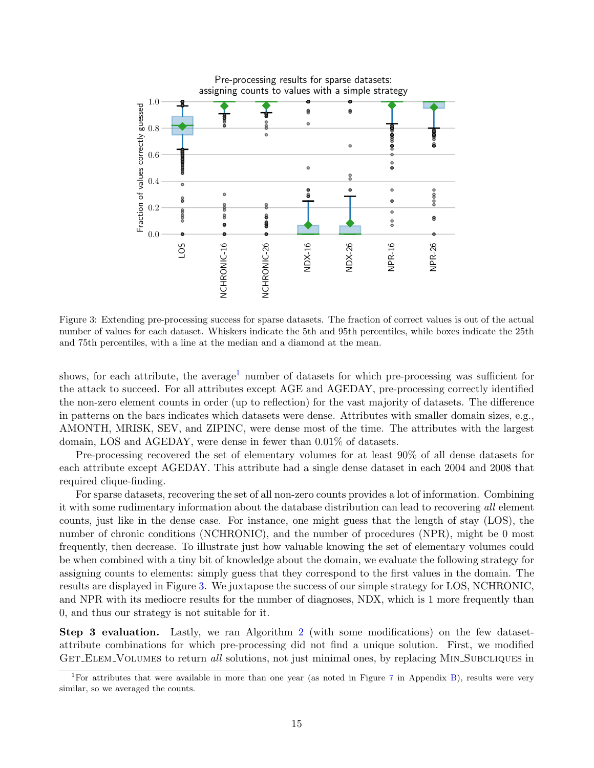<span id="page-14-1"></span>

Figure 3: Extending pre-processing success for sparse datasets. The fraction of correct values is out of the actual number of values for each dataset. Whiskers indicate the 5th and 95th percentiles, while boxes indicate the 25th and 75th percentiles, with a line at the median and a diamond at the mean.

shows, for each attribute, the average<sup>[1](#page-14-0)</sup> number of datasets for which pre-processing was sufficient for the attack to succeed. For all attributes except AGE and AGEDAY, pre-processing correctly identified the non-zero element counts in order (up to reflection) for the vast majority of datasets. The difference in patterns on the bars indicates which datasets were dense. Attributes with smaller domain sizes, e.g., AMONTH, MRISK, SEV, and ZIPINC, were dense most of the time. The attributes with the largest domain, LOS and AGEDAY, were dense in fewer than 0.01% of datasets.

Pre-processing recovered the set of elementary volumes for at least 90% of all dense datasets for each attribute except AGEDAY. This attribute had a single dense dataset in each 2004 and 2008 that required clique-finding.

For sparse datasets, recovering the set of all non-zero counts provides a lot of information. Combining it with some rudimentary information about the database distribution can lead to recovering all element counts, just like in the dense case. For instance, one might guess that the length of stay (LOS), the number of chronic conditions (NCHRONIC), and the number of procedures (NPR), might be 0 most frequently, then decrease. To illustrate just how valuable knowing the set of elementary volumes could be when combined with a tiny bit of knowledge about the domain, we evaluate the following strategy for assigning counts to elements: simply guess that they correspond to the first values in the domain. The results are displayed in Figure [3.](#page-14-1) We juxtapose the success of our simple strategy for LOS, NCHRONIC, and NPR with its mediocre results for the number of diagnoses, NDX, which is 1 more frequently than 0, and thus our strategy is not suitable for it.

Step 3 evaluation. Lastly, we ran Algorithm [2](#page-11-0) (with some modifications) on the few datasetattribute combinations for which pre-processing did not find a unique solution. First, we modified GET ELEM VOLUMES to return all solutions, not just minimal ones, by replacing MIN SUBCLIQUES in

<span id="page-14-0"></span><sup>&</sup>lt;sup>1</sup>For attributes that were available in more than one year (as noted in Figure [7](#page-30-0) in Appendix [B\)](#page-28-0), results were very similar, so we averaged the counts.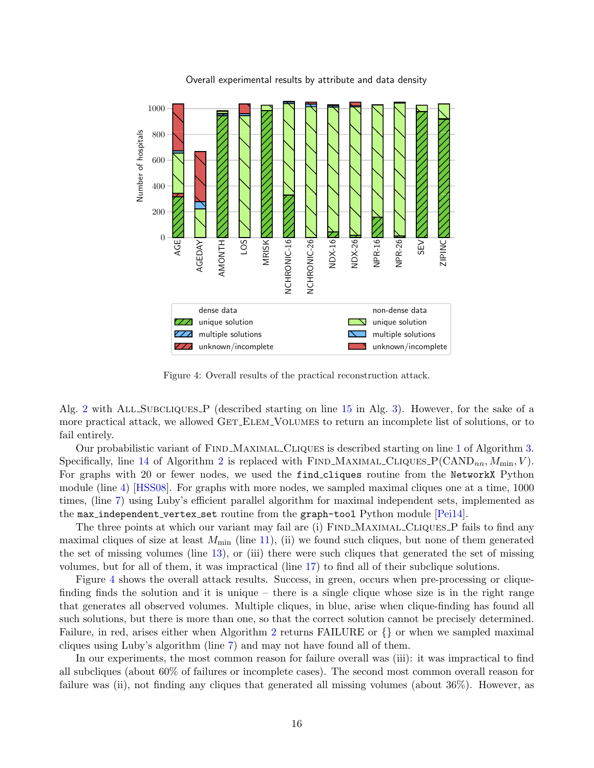<span id="page-15-0"></span>

Overall experimental results by attribute and data density

Figure 4: Overall results of the practical reconstruction attack.

Alg. [2](#page-11-0) with ALL SUBCLIQUES  $\mathbb{P}$  (described starting on line [15](#page-9-2) in Alg. [3\)](#page-12-1). However, for the sake of a more practical attack, we allowed GET\_ELEM\_VOLUMES to return an incomplete list of solutions, or to fail entirely.

Our probabilistic variant of FIND\_MAXIMAL\_CLIQUES is described starting on line [1](#page-9-3) of Algorithm [3.](#page-12-1) Specifically, line [14](#page-9-1) of Algorithm [2](#page-11-0) is replaced with FIND\_MAXIMAL\_CLIQUES\_P(CAND<sub>nn</sub>,  $M_{\text{min}}$ , V). For graphs with 20 or fewer nodes, we used the find cliques routine from the NetworkX Python module (line [4\)](#page-9-4) [\[HSS08\]](#page-25-10). For graphs with more nodes, we sampled maximal cliques one at a time, 1000 times, (line [7\)](#page-9-5) using Luby's efficient parallel algorithm for maximal independent sets, implemented as the max independent vertex set routine from the graph-tool Python module [\[Pei14\]](#page-25-9).

The three points at which our variant may fail are (i) FIND\_MAXIMAL\_CLIQUES\_P fails to find any maximal cliques of size at least  $M_{\text{min}}$  (line [11\)](#page-9-6), (ii) we found such cliques, but none of them generated the set of missing volumes (line [13\)](#page-9-7), or (iii) there were such cliques that generated the set of missing volumes, but for all of them, it was impractical (line [17\)](#page-9-8) to find all of their subclique solutions.

Figure [4](#page-15-0) shows the overall attack results. Success, in green, occurs when pre-processing or cliquefinding finds the solution and it is unique – there is a single clique whose size is in the right range that generates all observed volumes. Multiple cliques, in blue, arise when clique-finding has found all such solutions, but there is more than one, so that the correct solution cannot be precisely determined. Failure, in red, arises either when Algorithm [2](#page-11-0) returns FAILURE or  $\{\}$  or when we sampled maximal cliques using Luby's algorithm (line [7\)](#page-9-5) and may not have found all of them.

In our experiments, the most common reason for failure overall was (iii): it was impractical to find all subcliques (about 60% of failures or incomplete cases). The second most common overall reason for failure was (ii), not finding any cliques that generated all missing volumes (about 36%). However, as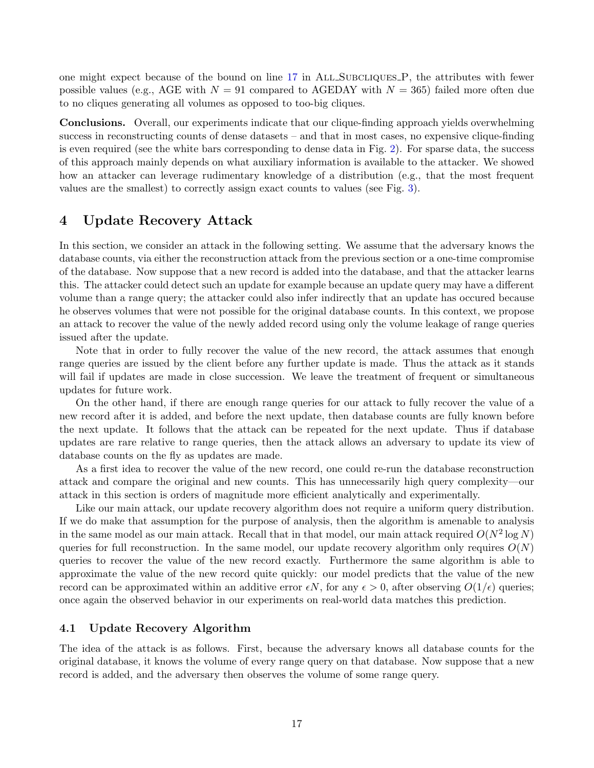one might expect because of the bound on line [17](#page-9-8) in All Subcliques P, the attributes with fewer possible values (e.g., AGE with  $N = 91$  compared to AGEDAY with  $N = 365$ ) failed more often due to no cliques generating all volumes as opposed to too-big cliques.

Conclusions. Overall, our experiments indicate that our clique-finding approach yields overwhelming success in reconstructing counts of dense datasets – and that in most cases, no expensive clique-finding is even required (see the white bars corresponding to dense data in Fig. [2\)](#page-13-0). For sparse data, the success of this approach mainly depends on what auxiliary information is available to the attacker. We showed how an attacker can leverage rudimentary knowledge of a distribution (e.g., that the most frequent values are the smallest) to correctly assign exact counts to values (see Fig. [3\)](#page-14-1).

## <span id="page-16-0"></span>4 Update Recovery Attack

In this section, we consider an attack in the following setting. We assume that the adversary knows the database counts, via either the reconstruction attack from the previous section or a one-time compromise of the database. Now suppose that a new record is added into the database, and that the attacker learns this. The attacker could detect such an update for example because an update query may have a different volume than a range query; the attacker could also infer indirectly that an update has occured because he observes volumes that were not possible for the original database counts. In this context, we propose an attack to recover the value of the newly added record using only the volume leakage of range queries issued after the update.

Note that in order to fully recover the value of the new record, the attack assumes that enough range queries are issued by the client before any further update is made. Thus the attack as it stands will fail if updates are made in close succession. We leave the treatment of frequent or simultaneous updates for future work.

On the other hand, if there are enough range queries for our attack to fully recover the value of a new record after it is added, and before the next update, then database counts are fully known before the next update. It follows that the attack can be repeated for the next update. Thus if database updates are rare relative to range queries, then the attack allows an adversary to update its view of database counts on the fly as updates are made.

As a first idea to recover the value of the new record, one could re-run the database reconstruction attack and compare the original and new counts. This has unnecessarily high query complexity—our attack in this section is orders of magnitude more efficient analytically and experimentally.

Like our main attack, our update recovery algorithm does not require a uniform query distribution. If we do make that assumption for the purpose of analysis, then the algorithm is amenable to analysis in the same model as our main attack. Recall that in that model, our main attack required  $O(N^2 \log N)$ queries for full reconstruction. In the same model, our update recovery algorithm only requires  $O(N)$ queries to recover the value of the new record exactly. Furthermore the same algorithm is able to approximate the value of the new record quite quickly: our model predicts that the value of the new record can be approximated within an additive error  $\epsilon N$ , for any  $\epsilon > 0$ , after observing  $O(1/\epsilon)$  queries; once again the observed behavior in our experiments on real-world data matches this prediction.

### 4.1 Update Recovery Algorithm

The idea of the attack is as follows. First, because the adversary knows all database counts for the original database, it knows the volume of every range query on that database. Now suppose that a new record is added, and the adversary then observes the volume of some range query.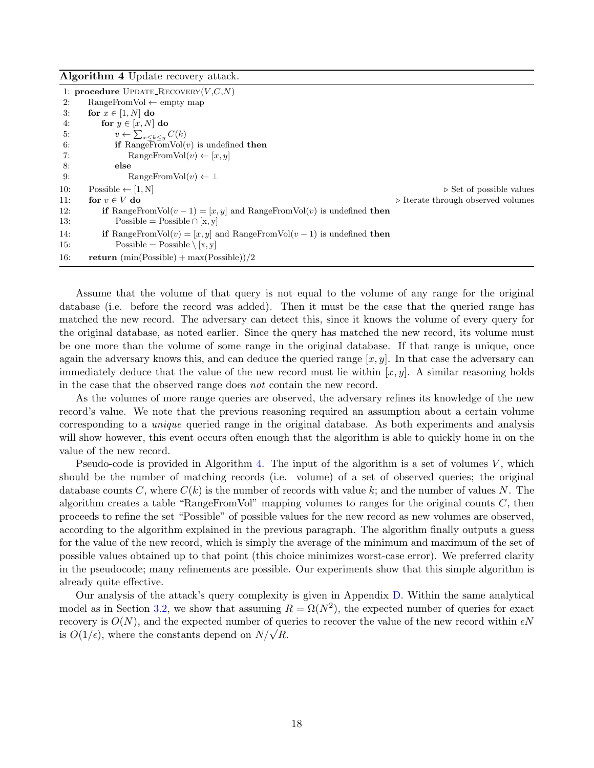<span id="page-17-0"></span>Algorithm 4 Update recovery attack.

|     | 1: procedure UPDATE_RECOVERY $(V, C, N)$                                                |                                                   |
|-----|-----------------------------------------------------------------------------------------|---------------------------------------------------|
| 2:  | $RangeFromVol \leftarrow empty map$                                                     |                                                   |
| 3:  | for $x \in [1, N]$ do                                                                   |                                                   |
| 4:  | for $y \in [x, N]$ do                                                                   |                                                   |
| 5:  | $v \leftarrow \sum_{x \leq k \leq y} C(k)$                                              |                                                   |
| 6:  | <b>if</b> RangeFromVol $(v)$ is undefined <b>then</b>                                   |                                                   |
| 7:  | RangeFromVol $(v) \leftarrow [x, y]$                                                    |                                                   |
| 8:  | else                                                                                    |                                                   |
| 9:  | RangeFromVol(v) $\leftarrow \perp$                                                      |                                                   |
| 10: | Possible $\leftarrow$ [1, N]                                                            | $\triangleright$ Set of possible values           |
| 11: | for $v \in V$ do                                                                        | $\triangleright$ Iterate through observed volumes |
| 12: | <b>if</b> RangeFromVol $(v-1) = [x, y]$ and RangeFromVol $(v)$ is undefined <b>then</b> |                                                   |
| 13: | Possible = Possible $\cap$ [x, y]                                                       |                                                   |
| 14: | <b>if</b> RangeFromVol $(v) = [x, y]$ and RangeFromVol $(v - 1)$ is undefined then      |                                                   |
| 15: | Possible = Possible $\setminus [x, y]$                                                  |                                                   |
| 16: | return $(min(Possible) + max(Possible))/2$                                              |                                                   |

Assume that the volume of that query is not equal to the volume of any range for the original database (i.e. before the record was added). Then it must be the case that the queried range has matched the new record. The adversary can detect this, since it knows the volume of every query for the original database, as noted earlier. Since the query has matched the new record, its volume must be one more than the volume of some range in the original database. If that range is unique, once again the adversary knows this, and can deduce the queried range  $[x, y]$ . In that case the adversary can immediately deduce that the value of the new record must lie within  $[x, y]$ . A similar reasoning holds in the case that the observed range does not contain the new record.

As the volumes of more range queries are observed, the adversary refines its knowledge of the new record's value. We note that the previous reasoning required an assumption about a certain volume corresponding to a unique queried range in the original database. As both experiments and analysis will show however, this event occurs often enough that the algorithm is able to quickly home in on the value of the new record.

Pseudo-code is provided in Algorithm [4.](#page-17-0) The input of the algorithm is a set of volumes  $V$ , which should be the number of matching records (i.e. volume) of a set of observed queries; the original database counts C, where  $C(k)$  is the number of records with value k; and the number of values N. The algorithm creates a table "RangeFromVol" mapping volumes to ranges for the original counts  $C$ , then proceeds to refine the set "Possible" of possible values for the new record as new volumes are observed, according to the algorithm explained in the previous paragraph. The algorithm finally outputs a guess for the value of the new record, which is simply the average of the minimum and maximum of the set of possible values obtained up to that point (this choice minimizes worst-case error). We preferred clarity in the pseudocode; many refinements are possible. Our experiments show that this simple algorithm is already quite effective.

Our analysis of the attack's query complexity is given in Appendix [D.](#page-36-0) Within the same analytical model as in Section [3.2,](#page-10-0) we show that assuming  $R = \Omega(N^2)$ , the expected number of queries for exact recovery is  $O(N)$ , and the expected number of queries to recover the value of the new record within  $\epsilon N$ recovery is  $O(N)$ , and the expected number of que<br>is  $O(1/\epsilon)$ , where the constants depend on  $N/\sqrt{R}$ .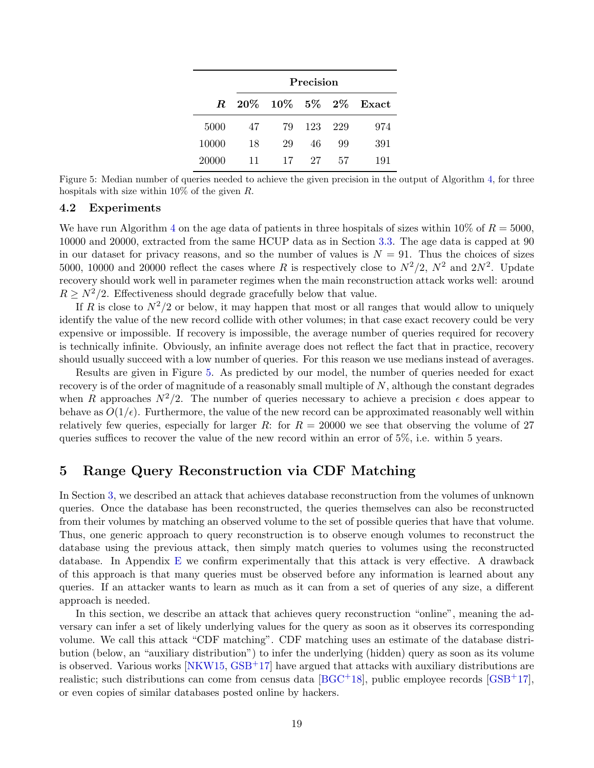|                  | Precision |    |     |     |                         |  |  |
|------------------|-----------|----|-----|-----|-------------------------|--|--|
| $\boldsymbol{R}$ |           |    |     |     | 20\% 10\% 5\% 2\% Exact |  |  |
| 5000             | 47        | 79 | 123 | 229 | 974                     |  |  |
| 10000            | 18        | 29 | 46  | 99  | 391                     |  |  |
| 20000            | 11        | 17 | 27  | 57  | 191                     |  |  |

<span id="page-18-0"></span>Figure 5: Median number of queries needed to achieve the given precision in the output of Algorithm [4,](#page-17-0) for three hospitals with size within  $10\%$  of the given R.

### <span id="page-18-2"></span>4.2 Experiments

We have run Algorithm [4](#page-17-0) on the age data of patients in three hospitals of sizes within 10% of  $R = 5000$ , 10000 and 20000, extracted from the same HCUP data as in Section [3.3.](#page-12-0) The age data is capped at 90 in our dataset for privacy reasons, and so the number of values is  $N = 91$ . Thus the choices of sizes 5000, 10000 and 20000 reflect the cases where R is respectively close to  $N^2/2$ ,  $N^2$  and  $2N^2$ . Update recovery should work well in parameter regimes when the main reconstruction attack works well: around  $R \geq N^2/2$ . Effectiveness should degrade gracefully below that value.

If R is close to  $N^2/2$  or below, it may happen that most or all ranges that would allow to uniquely identify the value of the new record collide with other volumes; in that case exact recovery could be very expensive or impossible. If recovery is impossible, the average number of queries required for recovery is technically infinite. Obviously, an infinite average does not reflect the fact that in practice, recovery should usually succeed with a low number of queries. For this reason we use medians instead of averages.

Results are given in Figure [5.](#page-18-0) As predicted by our model, the number of queries needed for exact recovery is of the order of magnitude of a reasonably small multiple of N, although the constant degrades when R approaches  $N^2/2$ . The number of queries necessary to achieve a precision  $\epsilon$  does appear to behave as  $O(1/\epsilon)$ . Furthermore, the value of the new record can be approximated reasonably well within relatively few queries, especially for larger R: for  $R = 20000$  we see that observing the volume of 27 queries suffices to recover the value of the new record within an error of 5%, i.e. within 5 years.

## <span id="page-18-1"></span>5 Range Query Reconstruction via CDF Matching

In Section [3,](#page-5-3) we described an attack that achieves database reconstruction from the volumes of unknown queries. Once the database has been reconstructed, the queries themselves can also be reconstructed from their volumes by matching an observed volume to the set of possible queries that have that volume. Thus, one generic approach to query reconstruction is to observe enough volumes to reconstruct the database using the previous attack, then simply match queries to volumes using the reconstructed database. In Appendix [E](#page-37-0) we confirm experimentally that this attack is very effective. A drawback of this approach is that many queries must be observed before any information is learned about any queries. If an attacker wants to learn as much as it can from a set of queries of any size, a different approach is needed.

In this section, we describe an attack that achieves query reconstruction "online", meaning the adversary can infer a set of likely underlying values for the query as soon as it observes its corresponding volume. We call this attack "CDF matching". CDF matching uses an estimate of the database distribution (below, an "auxiliary distribution") to infer the underlying (hidden) query as soon as its volume is observed. Various works [\[NKW15,](#page-25-11) [GSB](#page-25-12)+17] have argued that attacks with auxiliary distributions are realistic; such distributions can come from census data [\[BGC](#page-24-6)+18], public employee records [\[GSB](#page-25-12)+17], or even copies of similar databases posted online by hackers.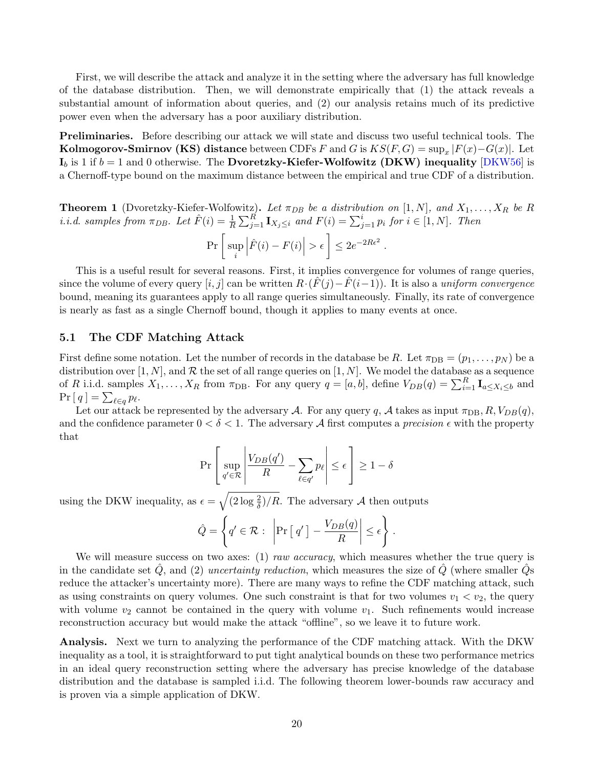First, we will describe the attack and analyze it in the setting where the adversary has full knowledge of the database distribution. Then, we will demonstrate empirically that (1) the attack reveals a substantial amount of information about queries, and (2) our analysis retains much of its predictive power even when the adversary has a poor auxiliary distribution.

**Preliminaries.** Before describing our attack we will state and discuss two useful technical tools. The **Kolmogorov-Smirnov (KS) distance** between CDFs F and G is  $KS(F, G) = \sup_x |F(x) - G(x)|$ . Let  $I_b$  is 1 if  $b = 1$  and 0 otherwise. The Dvoretzky-Kiefer-Wolfowitz (DKW) inequality [\[DKW56\]](#page-24-7) is a Chernoff-type bound on the maximum distance between the empirical and true CDF of a distribution.

**Theorem 1** (Dvoretzky-Kiefer-Wolfowitz). Let  $\pi_{DB}$  be a distribution on  $[1, N]$ , and  $X_1, \ldots, X_R$  be R *i.i.d.* samples from  $\pi_{DB}$ . Let  $\hat{F}(i) = \frac{1}{R} \sum_{j=1}^R \mathbf{I}_{X_j \leq i}$  and  $F(i) = \sum_{j=1}^i p_i$  for  $i \in [1, N]$ . Then

$$
\Pr\left[\left|\sup_i\left|\hat{F}(i)-F(i)\right|>\epsilon\right]\right]\leq 2e^{-2R\epsilon^2}.
$$

This is a useful result for several reasons. First, it implies convergence for volumes of range queries, since the volume of every query [i, j] can be written  $R \cdot (F(j) - F(i-1))$ . It is also a uniform convergence bound, meaning its guarantees apply to all range queries simultaneously. Finally, its rate of convergence is nearly as fast as a single Chernoff bound, though it applies to many events at once.

### 5.1 The CDF Matching Attack

First define some notation. Let the number of records in the database be R. Let  $\pi_{DB} = (p_1, \ldots, p_N)$  be a distribution over  $[1, N]$ , and  $\mathcal R$  the set of all range queries on  $[1, N]$ . We model the database as a sequence of R i.i.d. samples  $X_1, \ldots, X_R$  from  $\pi_{\text{DB}}$ . For any query  $q = [a, b]$ , define  $V_{DB}(q) = \sum_{i=1}^R \mathbf{I}_{a \leq X_i \leq b}$  and  $\Pr[\,q\,] = \sum_{\ell \in q} p_\ell.$ 

Let our attack be represented by the adversary A. For any query q, A takes as input  $\pi_{\text{DB}}$ ,  $R$ ,  $V_{DB}(q)$ , and the confidence parameter  $0 < \delta < 1$ . The adversary A first computes a *precision*  $\epsilon$  with the property that

$$
\Pr\left[\sup_{q' \in \mathcal{R}} \left| \frac{V_{DB}(q')}{R} - \sum_{\ell \in q'} p_{\ell} \right| \le \epsilon \right] \ge 1 - \delta
$$

using the DKW inequality, as  $\epsilon = \sqrt{(2 \log \frac{2}{\delta})/R}$ . The adversary A then outputs

$$
\hat{Q} = \left\{ q' \in \mathcal{R} : \left| \Pr\left[ q' \right] - \frac{V_{DB}(q)}{R} \right| \le \epsilon \right\}.
$$

We will measure success on two axes: (1) raw accuracy, which measures whether the true query is in the candidate set  $Q$ , and  $(2)$  uncertainty reduction, which measures the size of  $Q$  (where smaller  $Q$ s reduce the attacker's uncertainty more). There are many ways to refine the CDF matching attack, such as using constraints on query volumes. One such constraint is that for two volumes  $v_1 < v_2$ , the query with volume  $v_2$  cannot be contained in the query with volume  $v_1$ . Such refinements would increase reconstruction accuracy but would make the attack "offline", so we leave it to future work.

<span id="page-19-0"></span>Analysis. Next we turn to analyzing the performance of the CDF matching attack. With the DKW inequality as a tool, it is straightforward to put tight analytical bounds on these two performance metrics in an ideal query reconstruction setting where the adversary has precise knowledge of the database distribution and the database is sampled i.i.d. The following theorem lower-bounds raw accuracy and is proven via a simple application of DKW.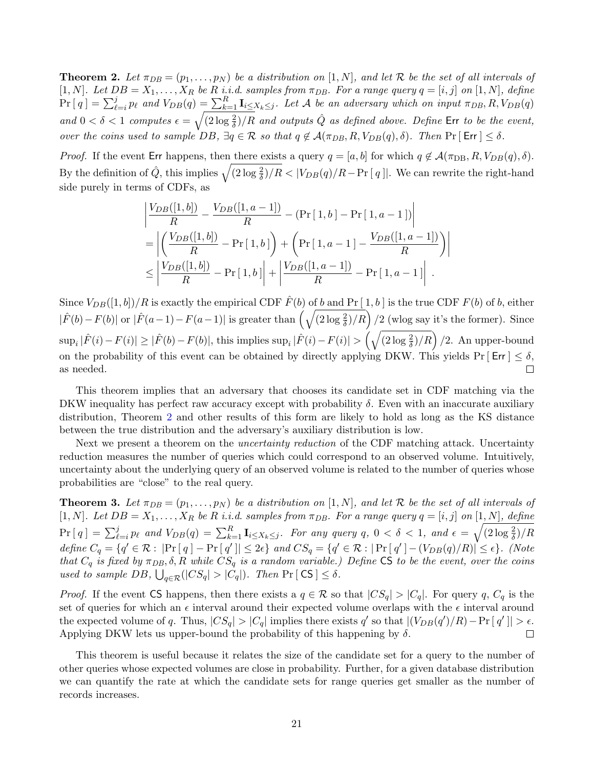**Theorem 2.** Let  $\pi_{DB} = (p_1, \ldots, p_N)$  be a distribution on  $[1, N]$ , and let R be the set of all intervals of  $[1, N]$ . Let  $DB = X_1, \ldots, X_R$  be R i.i.d. samples from  $\pi_{DB}$ . For a range query  $q = [i, j]$  on  $[1, N]$ , define  $\Pr[q] = \sum_{\ell=i}^{j} p_{\ell}$  and  $V_{DB}(q) = \sum_{k=1}^{R} \mathbf{I}_{i \leq X_k \leq j}$ . Let A be an adversary which on input  $\pi_{DB}, R, V_{DB}(q)$ and  $0 < \delta < 1$  computes  $\epsilon = \sqrt{(2 \log \frac{2}{\delta})/R}$  and outputs  $\hat{Q}$  as defined above. Define Err to be the event, over the coins used to sample  $DB$ ,  $\exists q \in \mathcal{R}$  so that  $q \notin \mathcal{A}(\pi_{DB}, R, V_{DB}(q), \delta)$ . Then  $\Pr[\text{Err}] \leq \delta$ .

*Proof.* If the event Err happens, then there exists a query  $q = [a, b]$  for which  $q \notin \mathcal{A}(\pi_{\text{DB}}, R, V_{DB}(q), \delta)$ . By the definition of  $\hat{Q}$ , this implies  $\sqrt{(2\log\frac{2}{\delta})/R} < |V_{DB}(q)/R-\Pr[|q|]|$ . We can rewrite the right-hand side purely in terms of CDFs, as

$$
\begin{aligned}\n&\left|\frac{V_{DB}([1,b])}{R} - \frac{V_{DB}([1,a-1])}{R} - (\Pr[1,b] - \Pr[1,a-1])\right| \\
&= \left|\left(\frac{V_{DB}([1,b])}{R} - \Pr[1,b]\right) + \left(\Pr[1,a-1] - \frac{V_{DB}([1,a-1])}{R}\right)\right| \\
&\le \left|\frac{V_{DB}([1,b])}{R} - \Pr[1,b]\right| + \left|\frac{V_{DB}([1,a-1])}{R} - \Pr[1,a-1]\right|.\n\end{aligned}
$$

Since  $V_{DB}([1, b])/R$  is exactly the empirical CDF  $\hat{F}(b)$  of b and Pr [1, b] is the true CDF  $F(b)$  of b, either  $|\hat{F}(b)-F(b)|$  or  $|\hat{F}(a-1)-F(a-1)|$  is greater than  $\left(\sqrt{(2\log\frac{2}{\delta})/R}\right)/2$  (wlog say it's the former). Since  $\sup_i |\hat{F}(i) - F(i)| \geq |\hat{F}(b) - F(b)|$ , this implies  $\sup_i |\hat{F}(i) - F(i)| > \left(\sqrt{(2\log\frac{2}{\delta})/R}\right)/2$ . An upper-bound on the probability of this event can be obtained by directly applying DKW. This yields  $Pr[Err] \leq \delta$ , as needed.  $\Box$ 

This theorem implies that an adversary that chooses its candidate set in CDF matching via the DKW inequality has perfect raw accuracy except with probability  $\delta$ . Even with an inaccurate auxiliary distribution, Theorem [2](#page-19-0) and other results of this form are likely to hold as long as the KS distance between the true distribution and the adversary's auxiliary distribution is low.

Next we present a theorem on the *uncertainty reduction* of the CDF matching attack. Uncertainty reduction measures the number of queries which could correspond to an observed volume. Intuitively, uncertainty about the underlying query of an observed volume is related to the number of queries whose probabilities are "close" to the real query.

**Theorem 3.** Let  $\pi_{DB} = (p_1, \ldots, p_N)$  be a distribution on  $[1, N]$ , and let R be the set of all intervals of [1, N]. Let  $DB = X_1, \ldots, X_R$  be R i.i.d. samples from  $\pi_{DB}$ . For a range query  $q = [i, j]$  on [1, N], define  $\Pr[\,q\,] = \sum_{\ell=i}^j p_\ell \text{ and } V_{DB}(q) = \sum_{k=1}^R \mathbf{I}_{i \leq X_k \leq j}.$  For any query  $q, \ 0 < \delta < 1, \text{ and } \epsilon = \sqrt{(2\log \frac{2}{\delta})/R}$ define  $C_q = \{q' \in \mathcal{R} : |\Pr[q] - \Pr[q']| \le 2\epsilon\}$  and  $CS_q = \{q' \in \mathcal{R} : |\Pr[q'] - (V_{DB}(q)/R)| \le \epsilon\}$ . (Note that  $C_q$  is fixed by  $\pi_{DB}, \delta, R$  while  $CS_q$  is a random variable.) Define CS to be the event, over the coins used to sample DB,  $\bigcup_{q \in \mathcal{R}}(|CS_q| > |C_q|)$ . Then  $\Pr[\text{CS }] \leq \delta$ .

*Proof.* If the event CS happens, then there exists a  $q \in \mathcal{R}$  so that  $|CS_q| > |C_q|$ . For query q,  $C_q$  is the set of queries for which an  $\epsilon$  interval around their expected volume overlaps with the  $\epsilon$  interval around the expected volume of q. Thus,  $|CS_q| > |C_q|$  implies there exists q' so that  $|(V_{DB}(q')/R) - Pr(q')| > \epsilon$ . Applying DKW lets us upper-bound the probability of this happening by  $\delta$ .  $\Box$ 

This theorem is useful because it relates the size of the candidate set for a query to the number of other queries whose expected volumes are close in probability. Further, for a given database distribution we can quantify the rate at which the candidate sets for range queries get smaller as the number of records increases.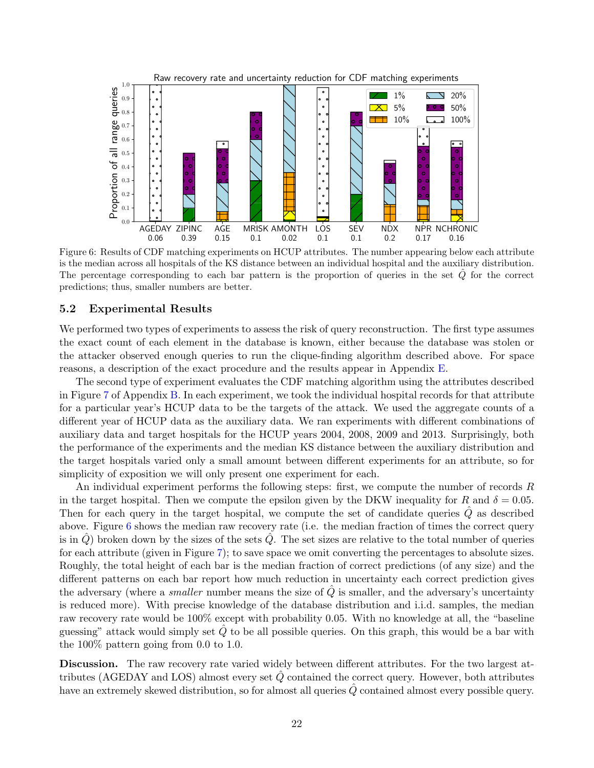<span id="page-21-0"></span>

Figure 6: Results of CDF matching experiments on HCUP attributes. The number appearing below each attribute is the median across all hospitals of the KS distance between an individual hospital and the auxiliary distribution. The percentage corresponding to each bar pattern is the proportion of queries in the set  $\hat{Q}$  for the correct predictions; thus, smaller numbers are better.

### 5.2 Experimental Results

We performed two types of experiments to assess the risk of query reconstruction. The first type assumes the exact count of each element in the database is known, either because the database was stolen or the attacker observed enough queries to run the clique-finding algorithm described above. For space reasons, a description of the exact procedure and the results appear in Appendix [E.](#page-37-0)

The second type of experiment evaluates the CDF matching algorithm using the attributes described in Figure [7](#page-30-0) of Appendix [B.](#page-28-0) In each experiment, we took the individual hospital records for that attribute for a particular year's HCUP data to be the targets of the attack. We used the aggregate counts of a different year of HCUP data as the auxiliary data. We ran experiments with different combinations of auxiliary data and target hospitals for the HCUP years 2004, 2008, 2009 and 2013. Surprisingly, both the performance of the experiments and the median KS distance between the auxiliary distribution and the target hospitals varied only a small amount between different experiments for an attribute, so for simplicity of exposition we will only present one experiment for each.

An individual experiment performs the following steps: first, we compute the number of records R in the target hospital. Then we compute the epsilon given by the DKW inequality for R and  $\delta = 0.05$ . Then for each query in the target hospital, we compute the set of candidate queries  $\hat{Q}$  as described above. Figure [6](#page-21-0) shows the median raw recovery rate (i.e. the median fraction of times the correct query is in  $\hat{Q}$ ) broken down by the sizes of the sets  $\hat{Q}$ . The set sizes are relative to the total number of queries for each attribute (given in Figure [7\)](#page-30-0); to save space we omit converting the percentages to absolute sizes. Roughly, the total height of each bar is the median fraction of correct predictions (of any size) and the different patterns on each bar report how much reduction in uncertainty each correct prediction gives the adversary (where a *smaller* number means the size of  $\hat{Q}$  is smaller, and the adversary's uncertainty is reduced more). With precise knowledge of the database distribution and i.i.d. samples, the median raw recovery rate would be 100% except with probability 0.05. With no knowledge at all, the "baseline guessing" attack would simply set  $\hat{Q}$  to be all possible queries. On this graph, this would be a bar with the 100% pattern going from 0.0 to 1.0.

Discussion. The raw recovery rate varied widely between different attributes. For the two largest attributes (AGEDAY and LOS) almost every set  $\hat{Q}$  contained the correct query. However, both attributes have an extremely skewed distribution, so for almost all queries  $\hat{Q}$  contained almost every possible query.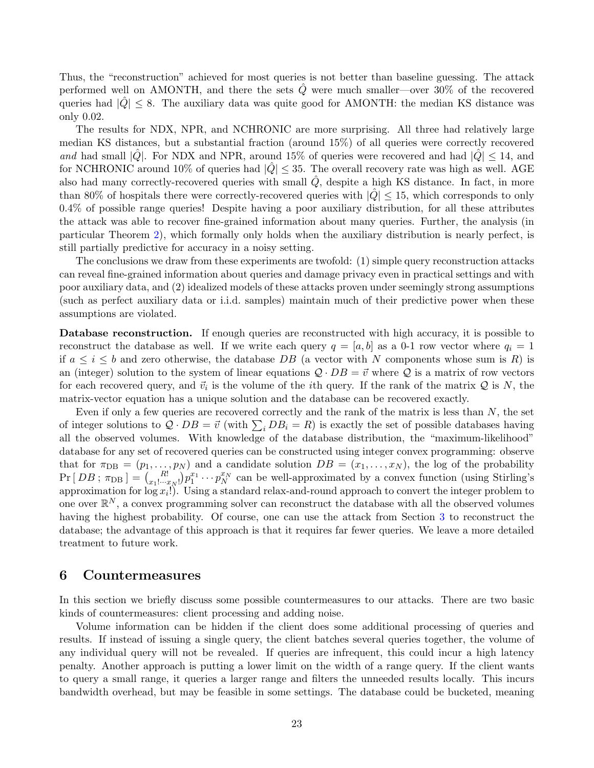Thus, the "reconstruction" achieved for most queries is not better than baseline guessing. The attack performed well on AMONTH, and there the sets  $\hat{Q}$  were much smaller—over 30% of the recovered queries had  $|Q| \leq 8$ . The auxiliary data was quite good for AMONTH: the median KS distance was only 0.02.

The results for NDX, NPR, and NCHRONIC are more surprising. All three had relatively large median KS distances, but a substantial fraction (around 15%) of all queries were correctly recovered and had small  $|Q\rangle$ . For NDX and NPR, around 15% of queries were recovered and had  $|Q| < 14$ , and for NCHRONIC around 10% of queries had  $|\hat{Q}| \leq 35$ . The overall recovery rate was high as well. AGE also had many correctly-recovered queries with small  $\tilde{Q}$ , despite a high KS distance. In fact, in more than 80% of hospitals there were correctly-recovered queries with  $|Q| \leq 15$ , which corresponds to only 0.4% of possible range queries! Despite having a poor auxiliary distribution, for all these attributes the attack was able to recover fine-grained information about many queries. Further, the analysis (in particular Theorem [2\)](#page-19-0), which formally only holds when the auxiliary distribution is nearly perfect, is still partially predictive for accuracy in a noisy setting.

The conclusions we draw from these experiments are twofold: (1) simple query reconstruction attacks can reveal fine-grained information about queries and damage privacy even in practical settings and with poor auxiliary data, and (2) idealized models of these attacks proven under seemingly strong assumptions (such as perfect auxiliary data or i.i.d. samples) maintain much of their predictive power when these assumptions are violated.

**Database reconstruction.** If enough queries are reconstructed with high accuracy, it is possible to reconstruct the database as well. If we write each query  $q = [a, b]$  as a 0-1 row vector where  $q_i = 1$ if  $a \leq i \leq b$  and zero otherwise, the database DB (a vector with N components whose sum is R) is an (integer) solution to the system of linear equations  $Q \cdot DB = \vec{v}$  where Q is a matrix of row vectors for each recovered query, and  $\vec{v}_i$  is the volume of the *i*th query. If the rank of the matrix  $\mathcal Q$  is N, the matrix-vector equation has a unique solution and the database can be recovered exactly.

Even if only a few queries are recovered correctly and the rank of the matrix is less than  $N$ , the set of integer solutions to  $Q \cdot DB = \vec{v}$  (with  $\sum_i DB_i = R$ ) is exactly the set of possible databases having all the observed volumes. With knowledge of the database distribution, the "maximum-likelihood" database for any set of recovered queries can be constructed using integer convex programming: observe that for  $\pi_{DB} = (p_1, \ldots, p_N)$  and a candidate solution  $DB = (x_1, \ldots, x_N)$ , the log of the probability  $\Pr[DB; \pi_{\text{DB}}] = {R! \choose x_1! \cdots x_N!} p_1^{x_1} \cdots p_N^{x_N}$  can be well-approximated by a convex function (using Stirling's approximation for  $log x_i$ !). Using a standard relax-and-round approach to convert the integer problem to one over  $\mathbb{R}^N$ , a convex programming solver can reconstruct the database with all the observed volumes having the highest probability. Of course, one can use the attack from Section [3](#page-5-3) to reconstruct the database; the advantage of this approach is that it requires far fewer queries. We leave a more detailed treatment to future work.

### <span id="page-22-0"></span>6 Countermeasures

In this section we briefly discuss some possible countermeasures to our attacks. There are two basic kinds of countermeasures: client processing and adding noise.

Volume information can be hidden if the client does some additional processing of queries and results. If instead of issuing a single query, the client batches several queries together, the volume of any individual query will not be revealed. If queries are infrequent, this could incur a high latency penalty. Another approach is putting a lower limit on the width of a range query. If the client wants to query a small range, it queries a larger range and filters the unneeded results locally. This incurs bandwidth overhead, but may be feasible in some settings. The database could be bucketed, meaning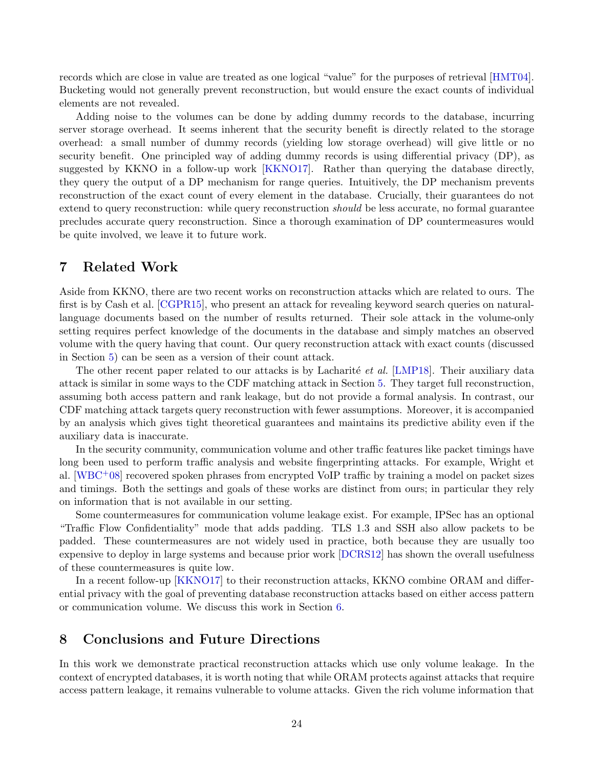records which are close in value are treated as one logical "value" for the purposes of retrieval [\[HMT04\]](#page-25-13). Bucketing would not generally prevent reconstruction, but would ensure the exact counts of individual elements are not revealed.

Adding noise to the volumes can be done by adding dummy records to the database, incurring server storage overhead. It seems inherent that the security benefit is directly related to the storage overhead: a small number of dummy records (yielding low storage overhead) will give little or no security benefit. One principled way of adding dummy records is using differential privacy (DP), as suggested by KKNO in a follow-up work [\[KKNO17\]](#page-25-14). Rather than querying the database directly, they query the output of a DP mechanism for range queries. Intuitively, the DP mechanism prevents reconstruction of the exact count of every element in the database. Crucially, their guarantees do not extend to query reconstruction: while query reconstruction *should* be less accurate, no formal guarantee precludes accurate query reconstruction. Since a thorough examination of DP countermeasures would be quite involved, we leave it to future work.

## 7 Related Work

Aside from KKNO, there are two recent works on reconstruction attacks which are related to ours. The first is by Cash et al. [\[CGPR15\]](#page-24-8), who present an attack for revealing keyword search queries on naturallanguage documents based on the number of results returned. Their sole attack in the volume-only setting requires perfect knowledge of the documents in the database and simply matches an observed volume with the query having that count. Our query reconstruction attack with exact counts (discussed in Section [5\)](#page-18-1) can be seen as a version of their count attack.

The other recent paper related to our attacks is by Lacharité *et al.* [\[LMP18\]](#page-25-2). Their auxiliary data attack is similar in some ways to the CDF matching attack in Section [5.](#page-18-1) They target full reconstruction, assuming both access pattern and rank leakage, but do not provide a formal analysis. In contrast, our CDF matching attack targets query reconstruction with fewer assumptions. Moreover, it is accompanied by an analysis which gives tight theoretical guarantees and maintains its predictive ability even if the auxiliary data is inaccurate.

In the security community, communication volume and other traffic features like packet timings have long been used to perform traffic analysis and website fingerprinting attacks. For example, Wright et al. [\[WBC](#page-25-15)+08] recovered spoken phrases from encrypted VoIP traffic by training a model on packet sizes and timings. Both the settings and goals of these works are distinct from ours; in particular they rely on information that is not available in our setting.

Some countermeasures for communication volume leakage exist. For example, IPSec has an optional "Traffic Flow Confidentiality" mode that adds padding. TLS 1.3 and SSH also allow packets to be padded. These countermeasures are not widely used in practice, both because they are usually too expensive to deploy in large systems and because prior work [\[DCRS12\]](#page-24-0) has shown the overall usefulness of these countermeasures is quite low.

In a recent follow-up [\[KKNO17\]](#page-25-14) to their reconstruction attacks, KKNO combine ORAM and differential privacy with the goal of preventing database reconstruction attacks based on either access pattern or communication volume. We discuss this work in Section [6.](#page-22-0)

## 8 Conclusions and Future Directions

In this work we demonstrate practical reconstruction attacks which use only volume leakage. In the context of encrypted databases, it is worth noting that while ORAM protects against attacks that require access pattern leakage, it remains vulnerable to volume attacks. Given the rich volume information that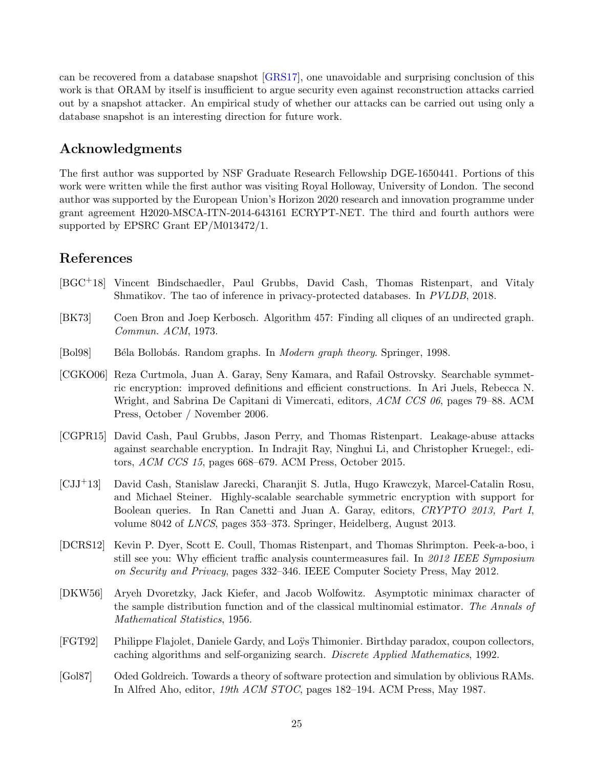can be recovered from a database snapshot [\[GRS17\]](#page-25-4), one unavoidable and surprising conclusion of this work is that ORAM by itself is insufficient to argue security even against reconstruction attacks carried out by a snapshot attacker. An empirical study of whether our attacks can be carried out using only a database snapshot is an interesting direction for future work.

## Acknowledgments

The first author was supported by NSF Graduate Research Fellowship DGE-1650441. Portions of this work were written while the first author was visiting Royal Holloway, University of London. The second author was supported by the European Union's Horizon 2020 research and innovation programme under grant agreement H2020-MSCA-ITN-2014-643161 ECRYPT-NET. The third and fourth authors were supported by EPSRC Grant EP/M013472/1.

## References

- <span id="page-24-6"></span>[BGC+18] Vincent Bindschaedler, Paul Grubbs, David Cash, Thomas Ristenpart, and Vitaly Shmatikov. The tao of inference in privacy-protected databases. In PVLDB, 2018.
- <span id="page-24-4"></span>[BK73] Coen Bron and Joep Kerbosch. Algorithm 457: Finding all cliques of an undirected graph. Commun. ACM, 1973.
- <span id="page-24-9"></span>[Bol98] Béla Bollobás. Random graphs. In *Modern graph theory*. Springer, 1998.
- <span id="page-24-2"></span>[CGKO06] Reza Curtmola, Juan A. Garay, Seny Kamara, and Rafail Ostrovsky. Searchable symmetric encryption: improved definitions and efficient constructions. In Ari Juels, Rebecca N. Wright, and Sabrina De Capitani di Vimercati, editors, ACM CCS 06, pages 79–88. ACM Press, October / November 2006.
- <span id="page-24-8"></span>[CGPR15] David Cash, Paul Grubbs, Jason Perry, and Thomas Ristenpart. Leakage-abuse attacks against searchable encryption. In Indrajit Ray, Ninghui Li, and Christopher Kruegel:, editors, ACM CCS 15, pages 668–679. ACM Press, October 2015.
- <span id="page-24-1"></span>[CJJ+13] David Cash, Stanislaw Jarecki, Charanjit S. Jutla, Hugo Krawczyk, Marcel-Catalin Rosu, and Michael Steiner. Highly-scalable searchable symmetric encryption with support for Boolean queries. In Ran Canetti and Juan A. Garay, editors, CRYPTO 2013, Part I, volume 8042 of LNCS, pages 353–373. Springer, Heidelberg, August 2013.
- <span id="page-24-0"></span>[DCRS12] Kevin P. Dyer, Scott E. Coull, Thomas Ristenpart, and Thomas Shrimpton. Peek-a-boo, i still see you: Why efficient traffic analysis countermeasures fail. In 2012 IEEE Symposium on Security and Privacy, pages 332–346. IEEE Computer Society Press, May 2012.
- <span id="page-24-7"></span>[DKW56] Aryeh Dvoretzky, Jack Kiefer, and Jacob Wolfowitz. Asymptotic minimax character of the sample distribution function and of the classical multinomial estimator. The Annals of Mathematical Statistics, 1956.
- <span id="page-24-5"></span>[FGT92] Philippe Flajolet, Daniele Gardy, and Loÿs Thimonier. Birthday paradox, coupon collectors, caching algorithms and self-organizing search. Discrete Applied Mathematics, 1992.
- <span id="page-24-3"></span>[Gol87] Oded Goldreich. Towards a theory of software protection and simulation by oblivious RAMs. In Alfred Aho, editor, 19th ACM STOC, pages 182–194. ACM Press, May 1987.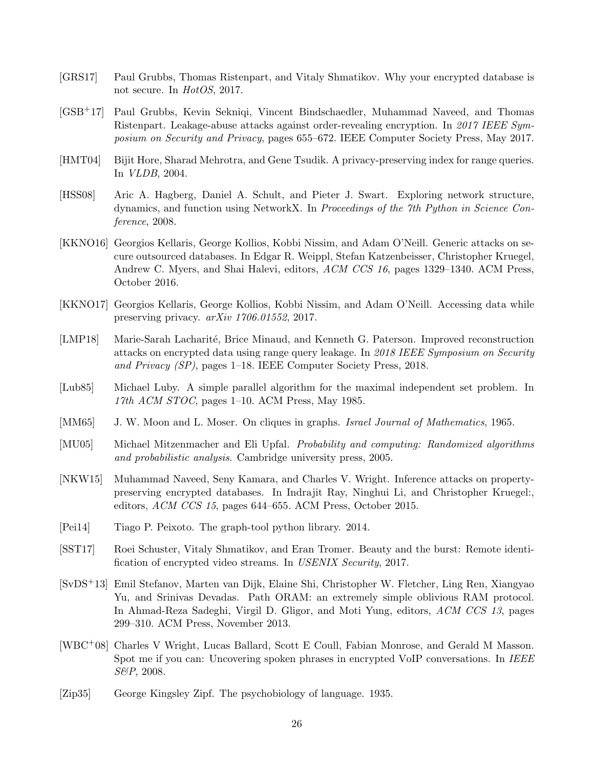- <span id="page-25-4"></span>[GRS17] Paul Grubbs, Thomas Ristenpart, and Vitaly Shmatikov. Why your encrypted database is not secure. In HotOS, 2017.
- <span id="page-25-12"></span>[GSB+17] Paul Grubbs, Kevin Sekniqi, Vincent Bindschaedler, Muhammad Naveed, and Thomas Ristenpart. Leakage-abuse attacks against order-revealing encryption. In 2017 IEEE Symposium on Security and Privacy, pages 655–672. IEEE Computer Society Press, May 2017.
- <span id="page-25-13"></span>[HMT04] Bijit Hore, Sharad Mehrotra, and Gene Tsudik. A privacy-preserving index for range queries. In VLDB, 2004.
- <span id="page-25-10"></span>[HSS08] Aric A. Hagberg, Daniel A. Schult, and Pieter J. Swart. Exploring network structure, dynamics, and function using NetworkX. In Proceedings of the 7th Python in Science Conference, 2008.
- <span id="page-25-0"></span>[KKNO16] Georgios Kellaris, George Kollios, Kobbi Nissim, and Adam O'Neill. Generic attacks on secure outsourced databases. In Edgar R. Weippl, Stefan Katzenbeisser, Christopher Kruegel, Andrew C. Myers, and Shai Halevi, editors, ACM CCS 16, pages 1329–1340. ACM Press, October 2016.
- <span id="page-25-14"></span>[KKNO17] Georgios Kellaris, George Kollios, Kobbi Nissim, and Adam O'Neill. Accessing data while preserving privacy. arXiv 1706.01552, 2017.
- <span id="page-25-2"></span>[LMP18] Marie-Sarah Lacharité, Brice Minaud, and Kenneth G. Paterson. Improved reconstruction attacks on encrypted data using range query leakage. In 2018 IEEE Symposium on Security and Privacy (SP), pages 1–18. IEEE Computer Society Press, 2018.
- <span id="page-25-6"></span>[Lub85] Michael Luby. A simple parallel algorithm for the maximal independent set problem. In 17th ACM STOC, pages 1–10. ACM Press, May 1985.
- <span id="page-25-5"></span>[MM65] J. W. Moon and L. Moser. On cliques in graphs. Israel Journal of Mathematics, 1965.
- <span id="page-25-8"></span>[MU05] Michael Mitzenmacher and Eli Upfal. Probability and computing: Randomized algorithms and probabilistic analysis. Cambridge university press, 2005.
- <span id="page-25-11"></span>[NKW15] Muhammad Naveed, Seny Kamara, and Charles V. Wright. Inference attacks on propertypreserving encrypted databases. In Indrajit Ray, Ninghui Li, and Christopher Kruegel:, editors, ACM CCS 15, pages 644–655. ACM Press, October 2015.
- <span id="page-25-9"></span>[Pei14] Tiago P. Peixoto. The graph-tool python library. 2014.
- <span id="page-25-1"></span>[SST17] Roei Schuster, Vitaly Shmatikov, and Eran Tromer. Beauty and the burst: Remote identification of encrypted video streams. In USENIX Security, 2017.
- <span id="page-25-3"></span>[SvDS+13] Emil Stefanov, Marten van Dijk, Elaine Shi, Christopher W. Fletcher, Ling Ren, Xiangyao Yu, and Srinivas Devadas. Path ORAM: an extremely simple oblivious RAM protocol. In Ahmad-Reza Sadeghi, Virgil D. Gligor, and Moti Yung, editors, ACM CCS 13, pages 299–310. ACM Press, November 2013.
- <span id="page-25-15"></span>[WBC+08] Charles V Wright, Lucas Ballard, Scott E Coull, Fabian Monrose, and Gerald M Masson. Spot me if you can: Uncovering spoken phrases in encrypted VoIP conversations. In IEEE S&P, 2008.
- <span id="page-25-7"></span>[Zip35] George Kingsley Zipf. The psychobiology of language. 1935.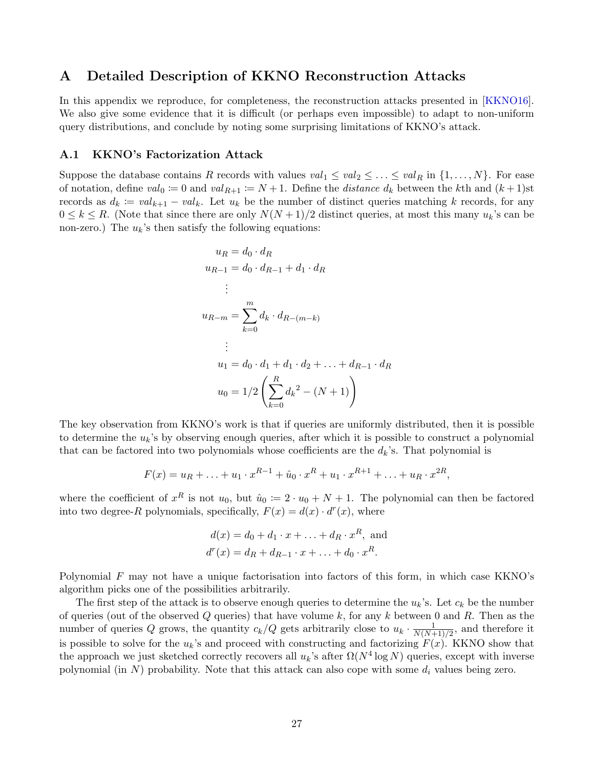## <span id="page-26-0"></span>A Detailed Description of KKNO Reconstruction Attacks

In this appendix we reproduce, for completeness, the reconstruction attacks presented in [\[KKNO16\]](#page-25-0). We also give some evidence that it is difficult (or perhaps even impossible) to adapt to non-uniform query distributions, and conclude by noting some surprising limitations of KKNO's attack.

### A.1 KKNO's Factorization Attack

Suppose the database contains R records with values  $val_1 \le val_2 \le ... \le val_R$  in  $\{1, ..., N\}$ . For ease of notation, define  $val_0 := 0$  and  $val_{R+1} := N + 1$ . Define the *distance*  $d_k$  between the kth and  $(k+1)$ st records as  $d_k \coloneqq val_{k+1} - val_k$ . Let  $u_k$  be the number of distinct queries matching k records, for any  $0 \leq k \leq R$ . (Note that since there are only  $N(N+1)/2$  distinct queries, at most this many  $u_k$ 's can be non-zero.) The  $u_k$ 's then satisfy the following equations:

$$
u_R = d_0 \cdot d_R
$$
  
\n
$$
u_{R-1} = d_0 \cdot d_{R-1} + d_1 \cdot d_R
$$
  
\n
$$
\vdots
$$
  
\n
$$
u_{R-m} = \sum_{k=0}^{m} d_k \cdot d_{R-(m-k)}
$$
  
\n
$$
\vdots
$$
  
\n
$$
u_1 = d_0 \cdot d_1 + d_1 \cdot d_2 + \ldots + d_{R-1} \cdot d_R
$$
  
\n
$$
u_0 = 1/2 \left( \sum_{k=0}^{R} d_k^2 - (N+1) \right)
$$

The key observation from KKNO's work is that if queries are uniformly distributed, then it is possible to determine the  $u_k$ 's by observing enough queries, after which it is possible to construct a polynomial that can be factored into two polynomials whose coefficients are the  $d_k$ 's. That polynomial is

$$
F(x) = u_R + \ldots + u_1 \cdot x^{R-1} + \hat{u}_0 \cdot x^R + u_1 \cdot x^{R+1} + \ldots + u_R \cdot x^{2R},
$$

where the coefficient of  $x^R$  is not  $u_0$ , but  $\hat{u}_0 := 2 \cdot u_0 + N + 1$ . The polynomial can then be factored into two degree-R polynomials, specifically,  $F(x) = d(x) \cdot d^{r}(x)$ , where

$$
d(x) = d_0 + d_1 \cdot x + \ldots + d_R \cdot x^R
$$
, and  
 $d^r(x) = d_R + d_{R-1} \cdot x + \ldots + d_0 \cdot x^R$ .

Polynomial F may not have a unique factorisation into factors of this form, in which case KKNO's algorithm picks one of the possibilities arbitrarily.

The first step of the attack is to observe enough queries to determine the  $u_k$ 's. Let  $c_k$  be the number of queries (out of the observed  $Q$  queries) that have volume k, for any k between 0 and R. Then as the number of queries Q grows, the quantity  $c_k/Q$  gets arbitrarily close to  $u_k \cdot \frac{1}{N(N+1)}$  $\frac{1}{N(N+1)/2}$ , and therefore it is possible to solve for the  $u_k$ 's and proceed with constructing and factorizing  $F(x)$ . KKNO show that the approach we just sketched correctly recovers all  $u_k$ 's after  $\Omega(N^4 \log N)$  queries, except with inverse polynomial (in N) probability. Note that this attack can also cope with some  $d_i$  values being zero.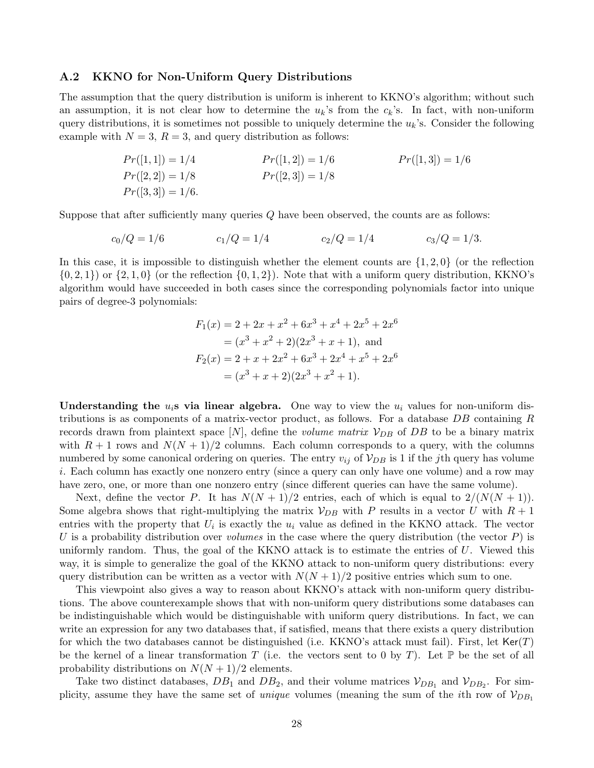### A.2 KKNO for Non-Uniform Query Distributions

The assumption that the query distribution is uniform is inherent to KKNO's algorithm; without such an assumption, it is not clear how to determine the  $u_k$ 's from the  $c_k$ 's. In fact, with non-uniform query distributions, it is sometimes not possible to uniquely determine the  $u_k$ 's. Consider the following example with  $N = 3$ ,  $R = 3$ , and query distribution as follows:

$$
Pr([1, 1]) = 1/4
$$
  
\n
$$
Pr([2, 2]) = 1/8
$$
  
\n
$$
Pr([2, 3]) = 1/6
$$
  
\n
$$
Pr([2, 3]) = 1/6.
$$
  
\n
$$
Pr([3, 3]) = 1/6.
$$
  
\n
$$
Pr([3, 3]) = 1/6.
$$

Suppose that after sufficiently many queries Q have been observed, the counts are as follows:

$$
c_0/Q = 1/6
$$
  $c_1/Q = 1/4$   $c_2/Q = 1/4$   $c_3/Q = 1/3$ .

In this case, it is impossible to distinguish whether the element counts are  $\{1, 2, 0\}$  (or the reflection  $\{0,2,1\}$  or  $\{2,1,0\}$  (or the reflection  $\{0,1,2\}$ ). Note that with a uniform query distribution, KKNO's algorithm would have succeeded in both cases since the corresponding polynomials factor into unique pairs of degree-3 polynomials:

$$
F_1(x) = 2 + 2x + x^2 + 6x^3 + x^4 + 2x^5 + 2x^6
$$
  
=  $(x^3 + x^2 + 2)(2x^3 + x + 1)$ , and  

$$
F_2(x) = 2 + x + 2x^2 + 6x^3 + 2x^4 + x^5 + 2x^6
$$
  
=  $(x^3 + x + 2)(2x^3 + x^2 + 1)$ .

**Understanding the**  $u_i$  **via linear algebra.** One way to view the  $u_i$  values for non-uniform distributions is as components of a matrix-vector product, as follows. For a database  $DB$  containing R records drawn from plaintext space [N], define the *volume matrix*  $V_{DB}$  of DB to be a binary matrix with  $R + 1$  rows and  $N(N + 1)/2$  columns. Each column corresponds to a query, with the columns numbered by some canonical ordering on queries. The entry  $v_{ij}$  of  $V_{DB}$  is 1 if the jth query has volume i. Each column has exactly one nonzero entry (since a query can only have one volume) and a row may have zero, one, or more than one nonzero entry (since different queries can have the same volume).

Next, define the vector P. It has  $N(N+1)/2$  entries, each of which is equal to  $2/(N(N+1))$ . Some algebra shows that right-multiplying the matrix  $V_{DB}$  with P results in a vector U with  $R + 1$ entries with the property that  $U_i$  is exactly the  $u_i$  value as defined in the KKNO attack. The vector U is a probability distribution over *volumes* in the case where the query distribution (the vector  $P$ ) is uniformly random. Thus, the goal of the KKNO attack is to estimate the entries of  $U$ . Viewed this way, it is simple to generalize the goal of the KKNO attack to non-uniform query distributions: every query distribution can be written as a vector with  $N(N+1)/2$  positive entries which sum to one.

This viewpoint also gives a way to reason about KKNO's attack with non-uniform query distributions. The above counterexample shows that with non-uniform query distributions some databases can be indistinguishable which would be distinguishable with uniform query distributions. In fact, we can write an expression for any two databases that, if satisfied, means that there exists a query distribution for which the two databases cannot be distinguished (i.e. KKNO's attack must fail). First, let  $\text{Ker}(T)$ be the kernel of a linear transformation T (i.e. the vectors sent to 0 by T). Let  $\mathbb P$  be the set of all probability distributions on  $N(N + 1)/2$  elements.

Take two distinct databases,  $DB_1$  and  $DB_2$ , and their volume matrices  $V_{DB_1}$  and  $V_{DB_2}$ . For simplicity, assume they have the same set of *unique* volumes (meaning the sum of the *i*th row of  $V_{DB_1}$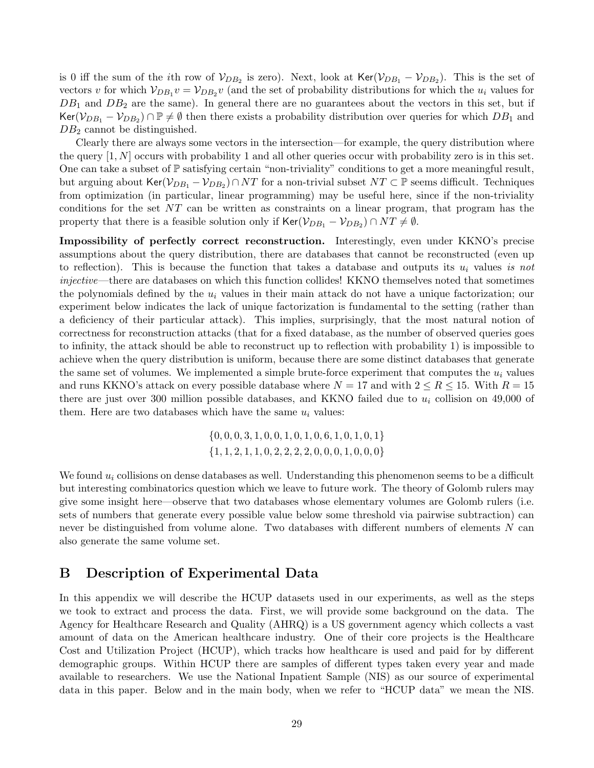is 0 iff the sum of the *i*th row of  $V_{DB_2}$  is zero). Next, look at Ker( $V_{DB_1} - V_{DB_2}$ ). This is the set of vectors v for which  $V_{DB_1}v = V_{DB_2}v$  (and the set of probability distributions for which the  $u_i$  values for  $DB_1$  and  $DB_2$  are the same). In general there are no guarantees about the vectors in this set, but if  $\text{Ker}(\mathcal{V}_{DB_1} - \mathcal{V}_{DB_2}) \cap \mathbb{P} \neq \emptyset$  then there exists a probability distribution over queries for which  $DB_1$  and  $DB_2$  cannot be distinguished.

Clearly there are always some vectors in the intersection—for example, the query distribution where the query  $[1, N]$  occurs with probability 1 and all other queries occur with probability zero is in this set. One can take a subset of  $\mathbb P$  satisfying certain "non-triviality" conditions to get a more meaningful result, but arguing about  $\text{Ker}(\mathcal{V}_{DB_1} - \mathcal{V}_{DB_2}) \cap NT$  for a non-trivial subset  $NT \subset \mathbb{P}$  seems difficult. Techniques from optimization (in particular, linear programming) may be useful here, since if the non-triviality conditions for the set  $NT$  can be written as constraints on a linear program, that program has the property that there is a feasible solution only if  $\textsf{Ker}(\mathcal{V}_{DB_1} - \mathcal{V}_{DB_2}) \cap NT \neq \emptyset$ .

Impossibility of perfectly correct reconstruction. Interestingly, even under KKNO's precise assumptions about the query distribution, there are databases that cannot be reconstructed (even up to reflection). This is because the function that takes a database and outputs its  $u_i$  values is not injective—there are databases on which this function collides! KKNO themselves noted that sometimes the polynomials defined by the  $u_i$  values in their main attack do not have a unique factorization; our experiment below indicates the lack of unique factorization is fundamental to the setting (rather than a deficiency of their particular attack). This implies, surprisingly, that the most natural notion of correctness for reconstruction attacks (that for a fixed database, as the number of observed queries goes to infinity, the attack should be able to reconstruct up to reflection with probability 1) is impossible to achieve when the query distribution is uniform, because there are some distinct databases that generate the same set of volumes. We implemented a simple brute-force experiment that computes the  $u_i$  values and runs KKNO's attack on every possible database where  $N = 17$  and with  $2 \le R \le 15$ . With  $R = 15$ there are just over 300 million possible databases, and KKNO failed due to  $u_i$  collision on 49,000 of them. Here are two databases which have the same  $u_i$  values:

$$
\{0,0,0,3,1,0,0,1,0,1,0,6,1,0,1,0,1\}
$$
  

$$
\{1,1,2,1,1,0,2,2,2,2,0,0,0,1,0,0,0\}
$$

We found  $u_i$  collisions on dense databases as well. Understanding this phenomenon seems to be a difficult but interesting combinatorics question which we leave to future work. The theory of Golomb rulers may give some insight here—observe that two databases whose elementary volumes are Golomb rulers (i.e. sets of numbers that generate every possible value below some threshold via pairwise subtraction) can never be distinguished from volume alone. Two databases with different numbers of elements N can also generate the same volume set.

### <span id="page-28-0"></span>B Description of Experimental Data

In this appendix we will describe the HCUP datasets used in our experiments, as well as the steps we took to extract and process the data. First, we will provide some background on the data. The Agency for Healthcare Research and Quality (AHRQ) is a US government agency which collects a vast amount of data on the American healthcare industry. One of their core projects is the Healthcare Cost and Utilization Project (HCUP), which tracks how healthcare is used and paid for by different demographic groups. Within HCUP there are samples of different types taken every year and made available to researchers. We use the National Inpatient Sample (NIS) as our source of experimental data in this paper. Below and in the main body, when we refer to "HCUP data" we mean the NIS.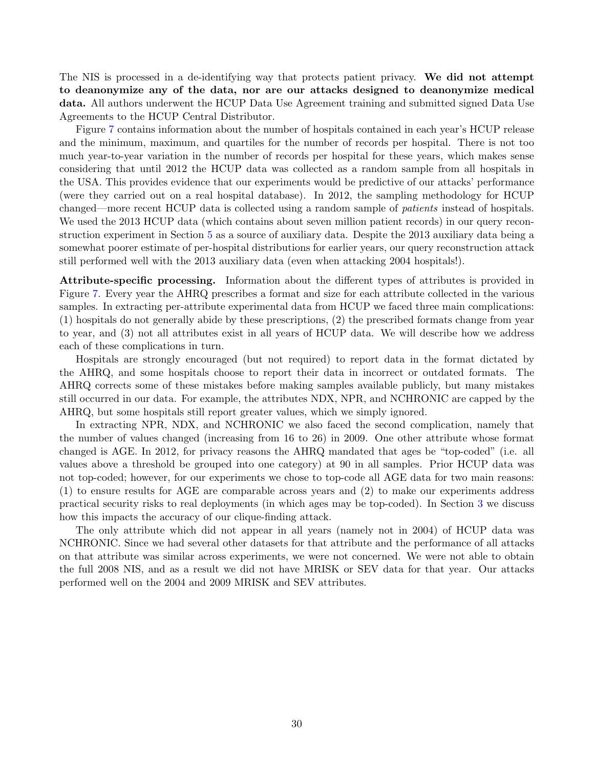The NIS is processed in a de-identifying way that protects patient privacy. We did not attempt to deanonymize any of the data, nor are our attacks designed to deanonymize medical data. All authors underwent the HCUP Data Use Agreement training and submitted signed Data Use Agreements to the HCUP Central Distributor.

Figure [7](#page-30-0) contains information about the number of hospitals contained in each year's HCUP release and the minimum, maximum, and quartiles for the number of records per hospital. There is not too much year-to-year variation in the number of records per hospital for these years, which makes sense considering that until 2012 the HCUP data was collected as a random sample from all hospitals in the USA. This provides evidence that our experiments would be predictive of our attacks' performance (were they carried out on a real hospital database). In 2012, the sampling methodology for HCUP changed—more recent HCUP data is collected using a random sample of patients instead of hospitals. We used the 2013 HCUP data (which contains about seven million patient records) in our query reconstruction experiment in Section [5](#page-18-1) as a source of auxiliary data. Despite the 2013 auxiliary data being a somewhat poorer estimate of per-hospital distributions for earlier years, our query reconstruction attack still performed well with the 2013 auxiliary data (even when attacking 2004 hospitals!).

Attribute-specific processing. Information about the different types of attributes is provided in Figure [7.](#page-30-0) Every year the AHRQ prescribes a format and size for each attribute collected in the various samples. In extracting per-attribute experimental data from HCUP we faced three main complications: (1) hospitals do not generally abide by these prescriptions, (2) the prescribed formats change from year to year, and (3) not all attributes exist in all years of HCUP data. We will describe how we address each of these complications in turn.

Hospitals are strongly encouraged (but not required) to report data in the format dictated by the AHRQ, and some hospitals choose to report their data in incorrect or outdated formats. The AHRQ corrects some of these mistakes before making samples available publicly, but many mistakes still occurred in our data. For example, the attributes NDX, NPR, and NCHRONIC are capped by the AHRQ, but some hospitals still report greater values, which we simply ignored.

In extracting NPR, NDX, and NCHRONIC we also faced the second complication, namely that the number of values changed (increasing from 16 to 26) in 2009. One other attribute whose format changed is AGE. In 2012, for privacy reasons the AHRQ mandated that ages be "top-coded" (i.e. all values above a threshold be grouped into one category) at 90 in all samples. Prior HCUP data was not top-coded; however, for our experiments we chose to top-code all AGE data for two main reasons: (1) to ensure results for AGE are comparable across years and (2) to make our experiments address practical security risks to real deployments (in which ages may be top-coded). In Section [3](#page-5-3) we discuss how this impacts the accuracy of our clique-finding attack.

The only attribute which did not appear in all years (namely not in 2004) of HCUP data was NCHRONIC. Since we had several other datasets for that attribute and the performance of all attacks on that attribute was similar across experiments, we were not concerned. We were not able to obtain the full 2008 NIS, and as a result we did not have MRISK or SEV data for that year. Our attacks performed well on the 2004 and 2009 MRISK and SEV attributes.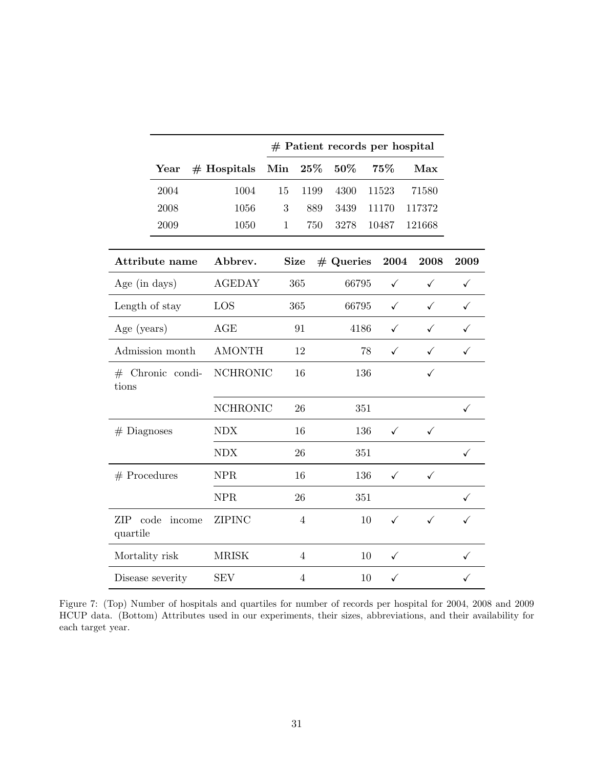<span id="page-30-0"></span>

| Year                                     | $#$ Hospitals   | Min          | 25%            | 50%         | 75%                | Max          |              |
|------------------------------------------|-----------------|--------------|----------------|-------------|--------------------|--------------|--------------|
| 2004                                     | 1004            | 15           | 1199           | 4300        | 11523              | 71580        |              |
| 2008                                     | 1056            | 3            | 889            | 3439        | 11170              | 117372       |              |
| 2009                                     | 1050            | $\mathbf{1}$ | 750            | 3278        | 10487              | 121668       |              |
| Attribute name                           | Abbrev.         | <b>Size</b>  |                | $#$ Queries | 2004               | 2008         | 2009         |
| Age (in days)                            | <b>AGEDAY</b>   |              | 365            | 66795       | $\checkmark$       | $\checkmark$ | $\checkmark$ |
| Length of stay                           | LOS             |              | 365            | 66795       | $\checkmark$       | ✓            | ✓            |
| Age (years)                              | AGE             |              | 91             | 4186        | $\checkmark$       | $\checkmark$ | $\checkmark$ |
| Admission month                          | <b>AMONTH</b>   |              | 12             |             | 78<br>$\checkmark$ | $\checkmark$ | $\checkmark$ |
| $\#$ Chronic condi-<br>tions             | <b>NCHRONIC</b> |              | 16             | 136         |                    | ✓            |              |
|                                          | <b>NCHRONIC</b> |              | 26             | 351         |                    |              | ✓            |
| $#$ Diagnoses                            | <b>NDX</b>      |              | 16             | 136         | ✓                  | ✓            |              |
|                                          | <b>NDX</b>      |              | 26             | 351         |                    |              | ✓            |
| $#$ Procedures                           | <b>NPR</b>      |              | 16             | 136         | ✓                  | ✓            |              |
|                                          | <b>NPR</b>      |              | 26             | 351         |                    |              | ✓            |
| <b>ZIP</b><br>code<br>income<br>quartile | ZIPINC          |              | $\overline{4}$ |             | 10<br>$\checkmark$ | $\checkmark$ | ✓            |
| Mortality risk                           | <b>MRISK</b>    |              | $\overline{4}$ |             | 10<br>✓            |              | ✓            |
| Disease severity                         | <b>SEV</b>      |              | $\overline{4}$ |             | 10<br>$\checkmark$ |              |              |

 $\#$  Patient records per hospital

Figure 7: (Top) Number of hospitals and quartiles for number of records per hospital for 2004, 2008 and 2009 HCUP data. (Bottom) Attributes used in our experiments, their sizes, abbreviations, and their availability for each target year.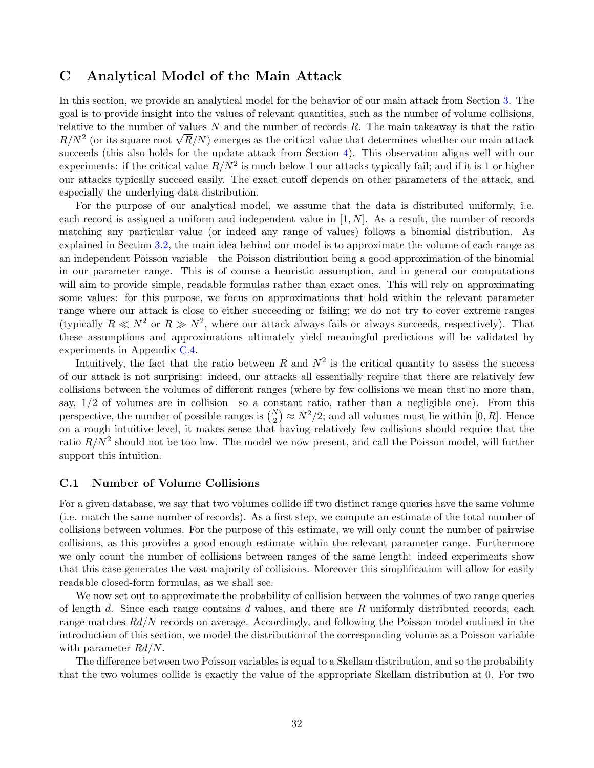## <span id="page-31-0"></span>C Analytical Model of the Main Attack

In this section, we provide an analytical model for the behavior of our main attack from Section [3.](#page-5-3) The goal is to provide insight into the values of relevant quantities, such as the number of volume collisions, relative to the number of values  $N$  and the number of records  $R$ . The main takeaway is that the ratio relative to the number of values *I*V and the number of records *R*. The main takeaway is that the ratio  $R/N^2$  (or its square root  $\sqrt{R}/N$ ) emerges as the critical value that determines whether our main attack succeeds (this also holds for the update attack from Section [4\)](#page-16-0). This observation aligns well with our experiments: if the critical value  $R/N^2$  is much below 1 our attacks typically fail; and if it is 1 or higher our attacks typically succeed easily. The exact cutoff depends on other parameters of the attack, and especially the underlying data distribution.

For the purpose of our analytical model, we assume that the data is distributed uniformly, i.e. each record is assigned a uniform and independent value in  $[1, N]$ . As a result, the number of records matching any particular value (or indeed any range of values) follows a binomial distribution. As explained in Section [3.2,](#page-10-0) the main idea behind our model is to approximate the volume of each range as an independent Poisson variable—the Poisson distribution being a good approximation of the binomial in our parameter range. This is of course a heuristic assumption, and in general our computations will aim to provide simple, readable formulas rather than exact ones. This will rely on approximating some values: for this purpose, we focus on approximations that hold within the relevant parameter range where our attack is close to either succeeding or failing; we do not try to cover extreme ranges (typically  $R \ll N^2$  or  $R \gg N^2$ , where our attack always fails or always succeeds, respectively). That these assumptions and approximations ultimately yield meaningful predictions will be validated by experiments in Appendix [C.4.](#page-35-0)

Intuitively, the fact that the ratio between R and  $N^2$  is the critical quantity to assess the success of our attack is not surprising: indeed, our attacks all essentially require that there are relatively few collisions between the volumes of different ranges (where by few collisions we mean that no more than, say,  $1/2$  of volumes are in collision—so a constant ratio, rather than a negligible one). From this perspective, the number of possible ranges is  $\binom{N}{2} \approx N^2/2$ ; and all volumes must lie within  $[0, R]$ . Hence on a rough intuitive level, it makes sense that having relatively few collisions should require that the ratio  $R/N^2$  should not be too low. The model we now present, and call the Poisson model, will further support this intuition.

### C.1 Number of Volume Collisions

For a given database, we say that two volumes collide iff two distinct range queries have the same volume (i.e. match the same number of records). As a first step, we compute an estimate of the total number of collisions between volumes. For the purpose of this estimate, we will only count the number of pairwise collisions, as this provides a good enough estimate within the relevant parameter range. Furthermore we only count the number of collisions between ranges of the same length: indeed experiments show that this case generates the vast majority of collisions. Moreover this simplification will allow for easily readable closed-form formulas, as we shall see.

We now set out to approximate the probability of collision between the volumes of two range queries of length d. Since each range contains d values, and there are  $R$  uniformly distributed records, each range matches  $Rd/N$  records on average. Accordingly, and following the Poisson model outlined in the introduction of this section, we model the distribution of the corresponding volume as a Poisson variable with parameter  $Rd/N$ .

The difference between two Poisson variables is equal to a Skellam distribution, and so the probability that the two volumes collide is exactly the value of the appropriate Skellam distribution at 0. For two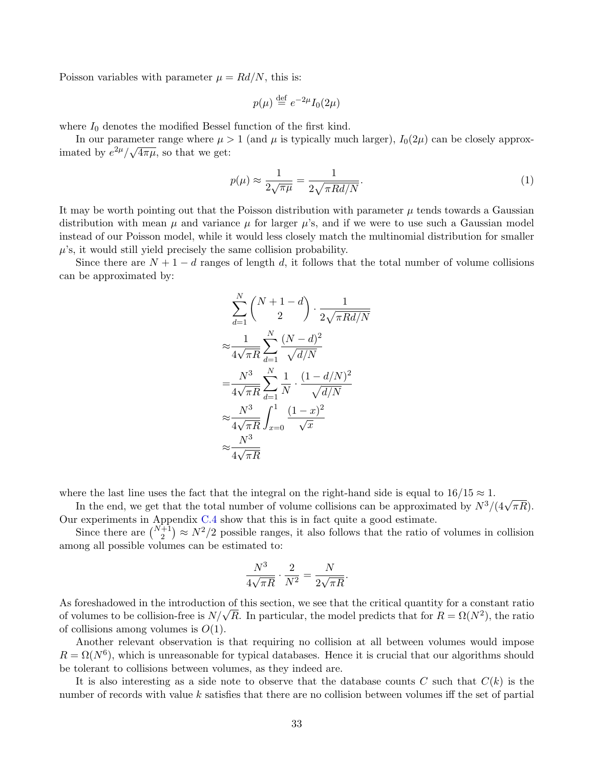Poisson variables with parameter  $\mu = Rd/N$ , this is:

$$
p(\mu) \stackrel{\text{def}}{=} e^{-2\mu} I_0(2\mu)
$$

where  $I_0$  denotes the modified Bessel function of the first kind.

In our parameter range where  $\mu > 1$  (and  $\mu$  is typically much larger),  $I_0(2\mu)$  can be closely approximated by  $e^{2\mu}/\sqrt{4\pi\mu}$ , so that we get:

<span id="page-32-0"></span>
$$
p(\mu) \approx \frac{1}{2\sqrt{\pi\mu}} = \frac{1}{2\sqrt{\pi R d/N}}.\tag{1}
$$

It may be worth pointing out that the Poisson distribution with parameter  $\mu$  tends towards a Gaussian distribution with mean  $\mu$  and variance  $\mu$  for larger  $\mu$ 's, and if we were to use such a Gaussian model instead of our Poisson model, while it would less closely match the multinomial distribution for smaller  $\mu$ 's, it would still yield precisely the same collision probability.

Since there are  $N+1-d$  ranges of length d, it follows that the total number of volume collisions can be approximated by:

$$
\sum_{d=1}^{N} {N+1-d \choose 2} \cdot \frac{1}{2\sqrt{\pi R d/N}}
$$

$$
\approx \frac{1}{4\sqrt{\pi R}} \sum_{d=1}^{N} \frac{(N-d)^2}{\sqrt{d/N}}
$$

$$
= \frac{N^3}{4\sqrt{\pi R}} \sum_{d=1}^{N} \frac{1}{N} \cdot \frac{(1-d/N)^2}{\sqrt{d/N}}
$$

$$
\approx \frac{N^3}{4\sqrt{\pi R}} \int_{x=0}^{1} \frac{(1-x)^2}{\sqrt{x}}
$$

$$
\approx \frac{N^3}{4\sqrt{\pi R}}
$$

where the last line uses the fact that the integral on the right-hand side is equal to  $16/15 \approx 1$ .

is the last line uses the fact that the integral on the right-hand side is equal to 10/15  $\approx$  1.<br>In the end, we get that the total number of volume collisions can be approximated by  $N^3/(4\sqrt{\pi R})$ . Our experiments in Appendix [C.4](#page-35-0) show that this is in fact quite a good estimate.

Since there are  $\binom{N+1}{2} \approx N^2/2$  possible ranges, it also follows that the ratio of volumes in collision among all possible volumes can be estimated to:

$$
\frac{N^3}{4\sqrt{\pi R}} \cdot \frac{2}{N^2} = \frac{N}{2\sqrt{\pi R}}.
$$

As foreshadowed in the introduction of this section, we see that the critical quantity for a constant ratio As foreshadowed in the introduction of this section, we see that the critical quantity for a constant ratio of volumes to be collision-free is  $N/\sqrt{R}$ . In particular, the model predicts that for  $R = \Omega(N^2)$ , the ratio of collisions among volumes is  $O(1)$ .

Another relevant observation is that requiring no collision at all between volumes would impose  $R = \Omega(N^6)$ , which is unreasonable for typical databases. Hence it is crucial that our algorithms should be tolerant to collisions between volumes, as they indeed are.

It is also interesting as a side note to observe that the database counts C such that  $C(k)$  is the number of records with value k satisfies that there are no collision between volumes iff the set of partial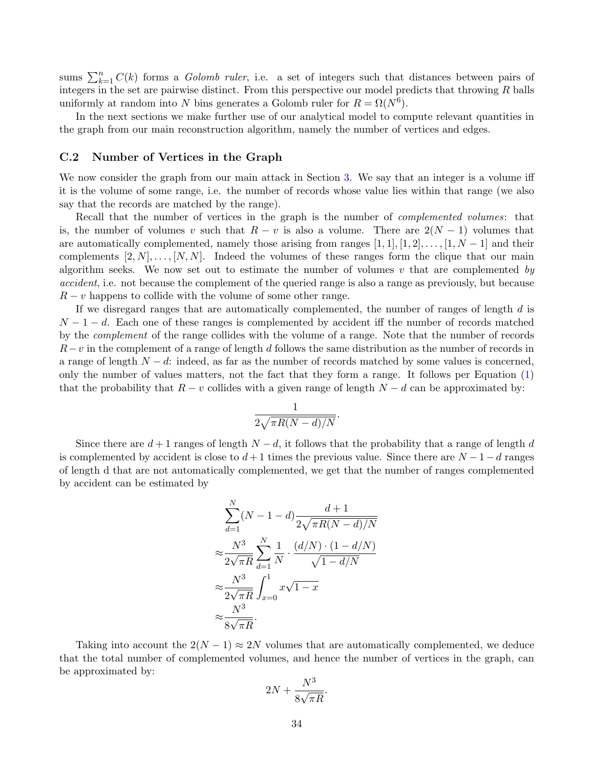sums  $\sum_{k=1}^{n} C(k)$  forms a *Golomb ruler*, i.e. a set of integers such that distances between pairs of integers in the set are pairwise distinct. From this perspective our model predicts that throwing  $R$  balls uniformly at random into N bins generates a Golomb ruler for  $R = \Omega(N^6)$ .

In the next sections we make further use of our analytical model to compute relevant quantities in the graph from our main reconstruction algorithm, namely the number of vertices and edges.

### <span id="page-33-0"></span>C.2 Number of Vertices in the Graph

We now consider the graph from our main attack in Section [3.](#page-5-3) We say that an integer is a volume iff it is the volume of some range, i.e. the number of records whose value lies within that range (we also say that the records are matched by the range).

Recall that the number of vertices in the graph is the number of complemented volumes: that is, the number of volumes v such that  $R - v$  is also a volume. There are  $2(N - 1)$  volumes that are automatically complemented, namely those arising from ranges  $[1, 1], [1, 2], \ldots, [1, N-1]$  and their complements  $[2, N], \ldots, [N, N]$ . Indeed the volumes of these ranges form the clique that our main algorithm seeks. We now set out to estimate the number of volumes  $v$  that are complemented by accident, i.e. not because the complement of the queried range is also a range as previously, but because  $R - v$  happens to collide with the volume of some other range.

If we disregard ranges that are automatically complemented, the number of ranges of length d is  $N-1-d$ . Each one of these ranges is complemented by accident iff the number of records matched by the *complement* of the range collides with the volume of a range. Note that the number of records  $R-v$  in the complement of a range of length d follows the same distribution as the number of records in a range of length  $N - d$ : indeed, as far as the number of records matched by some values is concerned, only the number of values matters, not the fact that they form a range. It follows per Equation [\(1\)](#page-32-0) that the probability that  $R - v$  collides with a given range of length  $N - d$  can be approximated by:

$$
\frac{1}{2\sqrt{\pi R(N-d)/N}}.
$$

Since there are  $d+1$  ranges of length  $N-d$ , it follows that the probability that a range of length d is complemented by accident is close to  $d+1$  times the previous value. Since there are  $N-1-d$  ranges of length d that are not automatically complemented, we get that the number of ranges complemented by accident can be estimated by

$$
\sum_{d=1}^{N} (N-1-d) \frac{d+1}{2\sqrt{\pi R(N-d)/N}}
$$

$$
\approx \frac{N^3}{2\sqrt{\pi R}} \sum_{d=1}^{N} \frac{1}{N} \cdot \frac{(d/N) \cdot (1-d/N)}{\sqrt{1-d/N}}
$$

$$
\approx \frac{N^3}{2\sqrt{\pi R}} \int_{x=0}^{1} x\sqrt{1-x}
$$

$$
\approx \frac{N^3}{8\sqrt{\pi R}}.
$$

Taking into account the  $2(N-1) \approx 2N$  volumes that are automatically complemented, we deduce that the total number of complemented volumes, and hence the number of vertices in the graph, can be approximated by:

$$
2N + \frac{N^3}{8\sqrt{\pi R}}.
$$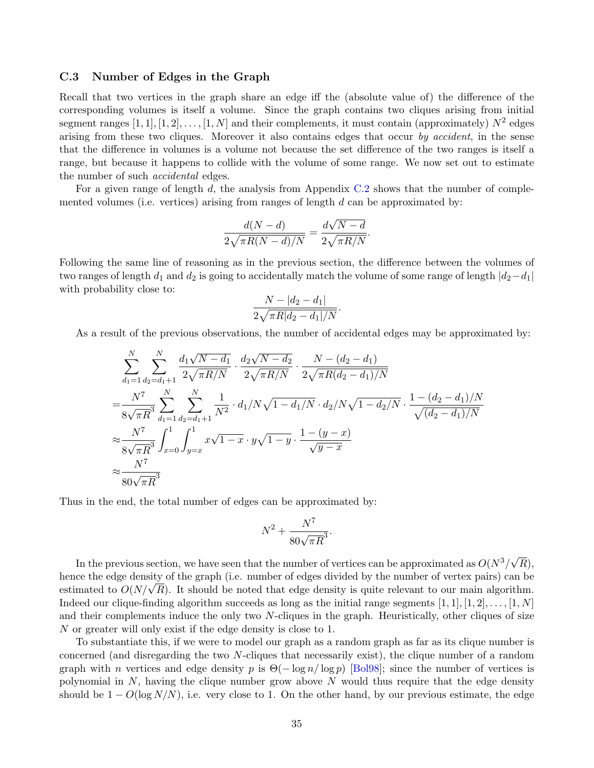### C.3 Number of Edges in the Graph

Recall that two vertices in the graph share an edge iff the (absolute value of) the difference of the corresponding volumes is itself a volume. Since the graph contains two cliques arising from initial segment ranges  $[1, 1], [1, 2], \ldots, [1, N]$  and their complements, it must contain (approximately)  $N^2$  edges arising from these two cliques. Moreover it also contains edges that occur by accident, in the sense that the difference in volumes is a volume not because the set difference of the two ranges is itself a range, but because it happens to collide with the volume of some range. We now set out to estimate the number of such *accidental* edges.

For a given range of length  $d$ , the analysis from Appendix [C.2](#page-33-0) shows that the number of complemented volumes (i.e. vertices) arising from ranges of length  $d$  can be approximated by:

$$
\frac{d(N-d)}{2\sqrt{\pi R(N-d)/N}} = \frac{d\sqrt{N-d}}{2\sqrt{\pi R/N}}.
$$

Following the same line of reasoning as in the previous section, the difference between the volumes of two ranges of length  $d_1$  and  $d_2$  is going to accidentally match the volume of some range of length  $|d_2-d_1|$ with probability close to:

$$
\frac{N - |d_2 - d_1|}{2\sqrt{\pi R |d_2 - d_1|/N}}.
$$

As a result of the previous observations, the number of accidental edges may be approximated by:

$$
\sum_{d_1=1}^N \sum_{d_2=d_1+1}^N \frac{d_1\sqrt{N-d_1}}{2\sqrt{\pi R/N}} \cdot \frac{d_2\sqrt{N-d_2}}{2\sqrt{\pi R/N}} \cdot \frac{N-(d_2-d_1)}{2\sqrt{\pi R(d_2-d_1)/N}}
$$
\n
$$
= \frac{N^7}{8\sqrt{\pi R}^3} \sum_{d_1=1}^N \sum_{d_2=d_1+1}^N \frac{1}{N^2} \cdot d_1/N\sqrt{1-d_1/N} \cdot d_2/N\sqrt{1-d_2/N} \cdot \frac{1-(d_2-d_1)/N}{\sqrt{(d_2-d_1)/N}}
$$
\n
$$
\approx \frac{N^7}{8\sqrt{\pi R}^3} \int_{x=0}^1 \int_{y=x}^1 x\sqrt{1-x} \cdot y\sqrt{1-y} \cdot \frac{1-(y-x)}{\sqrt{y-x}}
$$
\n
$$
\approx \frac{N^7}{80\sqrt{\pi R}^3}
$$

Thus in the end, the total number of edges can be approximated by:

$$
N^2+\frac{N^7}{80\sqrt{\pi R}^3}.
$$

In the previous section, we have seen that the number of vertices can be approximated as  $O(N^3/\sqrt{2})$ R), hence the edge density of the graph (i.e. number of edges divided by the number of vertex pairs) can be hence the edge density of the graph (i.e. number of edges divided by the number of vertex pairs) can be estimated to  $O(N/\sqrt{R})$ . It should be noted that edge density is quite relevant to our main algorithm. Indeed our clique-finding algorithm succeeds as long as the initial range segments  $[1, 1], [1, 2], \ldots, [1, N]$ and their complements induce the only two  $N$ -cliques in the graph. Heuristically, other cliques of size N or greater will only exist if the edge density is close to 1.

To substantiate this, if we were to model our graph as a random graph as far as its clique number is concerned (and disregarding the two N-cliques that necessarily exist), the clique number of a random graph with n vertices and edge density p is  $\Theta(-\log n/\log p)$  [\[Bol98\]](#page-24-9); since the number of vertices is polynomial in  $N$ , having the clique number grow above  $N$  would thus require that the edge density should be  $1 - O(\log N/N)$ , i.e. very close to 1. On the other hand, by our previous estimate, the edge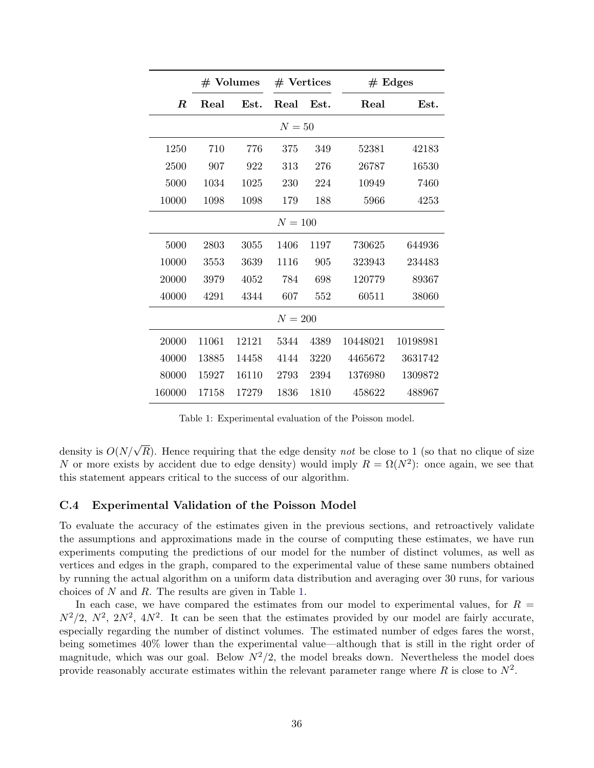<span id="page-35-1"></span>

|                  | $#$ Volumes |       | $#$ Vertices |      | # Edges  |          |  |  |
|------------------|-------------|-------|--------------|------|----------|----------|--|--|
| $\boldsymbol{R}$ | Real        | Est.  | Real         | Est. | Real     | Est.     |  |  |
|                  | $N=50$      |       |              |      |          |          |  |  |
| 1250             | 710         | 776   | 375          | 349  | 52381    | 42183    |  |  |
| 2500             | 907         | 922   | 313          | 276  | 26787    | 16530    |  |  |
| 5000             | 1034        | 1025  | 230          | 224  | 10949    | 7460     |  |  |
| 10000            | 1098        | 1098  | 179          | 188  | 5966     | 4253     |  |  |
|                  | $N = 100$   |       |              |      |          |          |  |  |
| 5000             | 2803        | 3055  | 1406         | 1197 | 730625   | 644936   |  |  |
| 10000            | 3553        | 3639  | 1116         | 905  | 323943   | 234483   |  |  |
| 20000            | 3979        | 4052  | 784          | 698  | 120779   | 89367    |  |  |
| 40000            | 4291        | 4344  | 607          | 552  | 60511    | 38060    |  |  |
|                  | $N = 200$   |       |              |      |          |          |  |  |
| 20000            | 11061       | 12121 | 5344         | 4389 | 10448021 | 10198981 |  |  |
| 40000            | 13885       | 14458 | 4144         | 3220 | 4465672  | 3631742  |  |  |
| 80000            | 15927       | 16110 | 2793         | 2394 | 1376980  | 1309872  |  |  |
| 160000           | 17158       | 17279 | 1836         | 1810 | 458622   | 488967   |  |  |

Table 1: Experimental evaluation of the Poisson model.

density is  $O(N/\sqrt{R})$ . Hence requiring that the edge density not be close to 1 (so that no clique of size N or more exists by accident due to edge density) would imply  $R = \Omega(N^2)$ : once again, we see that this statement appears critical to the success of our algorithm.

### <span id="page-35-0"></span>C.4 Experimental Validation of the Poisson Model

To evaluate the accuracy of the estimates given in the previous sections, and retroactively validate the assumptions and approximations made in the course of computing these estimates, we have run experiments computing the predictions of our model for the number of distinct volumes, as well as vertices and edges in the graph, compared to the experimental value of these same numbers obtained by running the actual algorithm on a uniform data distribution and averaging over 30 runs, for various choices of  $N$  and  $R$ . The results are given in Table [1.](#page-35-1)

In each case, we have compared the estimates from our model to experimental values, for  $R =$  $N^2/2$ ,  $N^2$ ,  $2N^2$ ,  $4N^2$ . It can be seen that the estimates provided by our model are fairly accurate, especially regarding the number of distinct volumes. The estimated number of edges fares the worst, being sometimes 40% lower than the experimental value—although that is still in the right order of magnitude, which was our goal. Below  $N^2/2$ , the model breaks down. Nevertheless the model does provide reasonably accurate estimates within the relevant parameter range where R is close to  $N^2$ .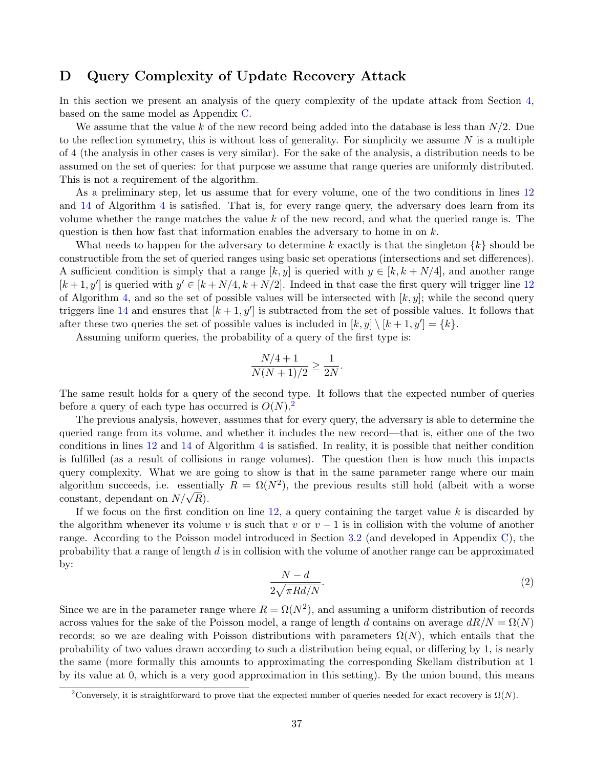## <span id="page-36-0"></span>D Query Complexity of Update Recovery Attack

In this section we present an analysis of the query complexity of the update attack from Section [4,](#page-16-0) based on the same model as Appendix [C.](#page-31-0)

We assume that the value k of the new record being added into the database is less than  $N/2$ . Due to the reflection symmetry, this is without loss of generality. For simplicity we assume  $N$  is a multiple of 4 (the analysis in other cases is very similar). For the sake of the analysis, a distribution needs to be assumed on the set of queries: for that purpose we assume that range queries are uniformly distributed. This is not a requirement of the algorithm.

As a preliminary step, let us assume that for every volume, one of the two conditions in lines [12](#page-9-9) and [14](#page-9-1) of Algorithm [4](#page-17-0) is satisfied. That is, for every range query, the adversary does learn from its volume whether the range matches the value  $k$  of the new record, and what the queried range is. The question is then how fast that information enables the adversary to home in on  $k$ .

What needs to happen for the adversary to determine k exactly is that the singleton  $\{k\}$  should be constructible from the set of queried ranges using basic set operations (intersections and set differences). A sufficient condition is simply that a range  $[k, y]$  is queried with  $y \in [k, k + N/4]$ , and another range  $[k+1, y']$  is queried with  $y' \in [k+N/4, k+N/2]$ . Indeed in that case the first query will trigger line [12](#page-9-9) of Algorithm [4,](#page-17-0) and so the set of possible values will be intersected with  $[k, y]$ ; while the second query triggers line [14](#page-9-1) and ensures that  $[k+1, y']$  is subtracted from the set of possible values. It follows that after these two queries the set of possible values is included in  $[k, y] \setminus [k + 1, y'] = \{k\}.$ 

Assuming uniform queries, the probability of a query of the first type is:

$$
\frac{N/4 + 1}{N(N+1)/2} \ge \frac{1}{2N}.
$$

The same result holds for a query of the second type. It follows that the expected number of queries before a query of each type has occurred is  $O(N)^2$  $O(N)^2$ .

The previous analysis, however, assumes that for every query, the adversary is able to determine the queried range from its volume, and whether it includes the new record—that is, either one of the two conditions in lines [12](#page-9-9) and [14](#page-9-1) of Algorithm [4](#page-17-0) is satisfied. In reality, it is possible that neither condition is fulfilled (as a result of collisions in range volumes). The question then is how much this impacts query complexity. What we are going to show is that in the same parameter range where our main algorithm succeeds, i.e. essentially  $R = \Omega(N^2)$ , the previous results still hold (albeit with a worse aigorithm succeeds, i.e. essentia<br>constant, dependant on  $N/\sqrt{R}$ ).

If we focus on the first condition on line [12,](#page-9-9) a query containing the target value  $k$  is discarded by the algorithm whenever its volume v is such that v or  $v-1$  is in collision with the volume of another range. According to the Poisson model introduced in Section [3.2](#page-10-0) (and developed in Appendix [C\)](#page-31-0), the probability that a range of length d is in collision with the volume of another range can be approximated by:

<span id="page-36-2"></span>
$$
\frac{N-d}{2\sqrt{\pi R d/N}}.\tag{2}
$$

Since we are in the parameter range where  $R = \Omega(N^2)$ , and assuming a uniform distribution of records across values for the sake of the Poisson model, a range of length d contains on average  $dR/N = \Omega(N)$ records; so we are dealing with Poisson distributions with parameters  $\Omega(N)$ , which entails that the probability of two values drawn according to such a distribution being equal, or differing by 1, is nearly the same (more formally this amounts to approximating the corresponding Skellam distribution at 1 by its value at 0, which is a very good approximation in this setting). By the union bound, this means

<span id="page-36-1"></span><sup>&</sup>lt;sup>2</sup>Conversely, it is straightforward to prove that the expected number of queries needed for exact recovery is  $\Omega(N)$ .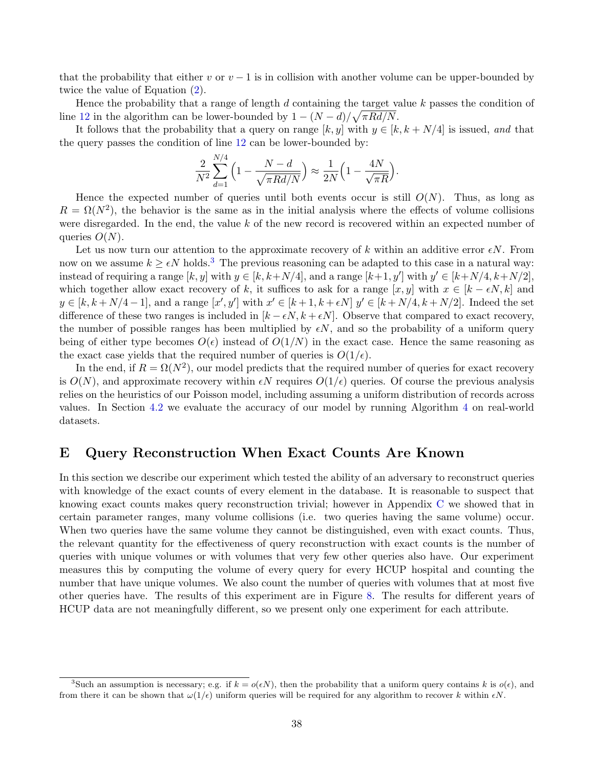that the probability that either v or  $v - 1$  is in collision with another volume can be upper-bounded by twice the value of Equation [\(2\)](#page-36-2).

Hence the probability that a range of length d containing the target value  $k$  passes the condition of line [12](#page-9-9) in the algorithm can be lower-bounded by  $1 - (N - d)/\sqrt{\pi R d/N}$ .

It follows that the probability that a query on range  $[k, y]$  with  $y \in [k, k + N/4]$  is issued, and that the query passes the condition of line [12](#page-9-9) can be lower-bounded by:

$$
\frac{2}{N^2} \sum_{d=1}^{N/4} \left( 1 - \frac{N - d}{\sqrt{\pi R d/N}} \right) \approx \frac{1}{2N} \left( 1 - \frac{4N}{\sqrt{\pi R}} \right).
$$

Hence the expected number of queries until both events occur is still  $O(N)$ . Thus, as long as  $R = \Omega(N^2)$ , the behavior is the same as in the initial analysis where the effects of volume collisions were disregarded. In the end, the value  $k$  of the new record is recovered within an expected number of queries  $O(N)$ .

Let us now turn our attention to the approximate recovery of k within an additive error  $\epsilon N$ . From now on we assume  $k \ge \epsilon N$  holds.<sup>[3](#page-37-1)</sup> The previous reasoning can be adapted to this case in a natural way: instead of requiring a range  $[k, y]$  with  $y \in [k, k+N/4]$ , and a range  $[k+1, y']$  with  $y' \in [k+N/4, k+N/2]$ , which together allow exact recovery of k, it suffices to ask for a range  $[x, y]$  with  $x \in [k - \epsilon N, k]$  and  $y \in [k, k+N/4-1]$ , and a range  $[x', y']$  with  $x' \in [k+1, k+\epsilon N]$   $y' \in [k+N/4, k+N/2]$ . Indeed the set difference of these two ranges is included in  $[k - \epsilon N, k + \epsilon N]$ . Observe that compared to exact recovery, the number of possible ranges has been multiplied by  $\epsilon N$ , and so the probability of a uniform query being of either type becomes  $O(\epsilon)$  instead of  $O(1/N)$  in the exact case. Hence the same reasoning as the exact case yields that the required number of queries is  $O(1/\epsilon)$ .

In the end, if  $R = \Omega(N^2)$ , our model predicts that the required number of queries for exact recovery is  $O(N)$ , and approximate recovery within  $\epsilon N$  requires  $O(1/\epsilon)$  queries. Of course the previous analysis relies on the heuristics of our Poisson model, including assuming a uniform distribution of records across values. In Section [4.2](#page-18-2) we evaluate the accuracy of our model by running Algorithm [4](#page-17-0) on real-world datasets.

## <span id="page-37-0"></span>E Query Reconstruction When Exact Counts Are Known

In this section we describe our experiment which tested the ability of an adversary to reconstruct queries with knowledge of the exact counts of every element in the database. It is reasonable to suspect that knowing exact counts makes query reconstruction trivial; however in Appendix [C](#page-31-0) we showed that in certain parameter ranges, many volume collisions (i.e. two queries having the same volume) occur. When two queries have the same volume they cannot be distinguished, even with exact counts. Thus, the relevant quantity for the effectiveness of query reconstruction with exact counts is the number of queries with unique volumes or with volumes that very few other queries also have. Our experiment measures this by computing the volume of every query for every HCUP hospital and counting the number that have unique volumes. We also count the number of queries with volumes that at most five other queries have. The results of this experiment are in Figure [8.](#page-38-2) The results for different years of HCUP data are not meaningfully different, so we present only one experiment for each attribute.

<span id="page-37-1"></span><sup>&</sup>lt;sup>3</sup>Such an assumption is necessary; e.g. if  $k = o(\epsilon N)$ , then the probability that a uniform query contains k is  $o(\epsilon)$ , and from there it can be shown that  $\omega(1/\epsilon)$  uniform queries will be required for any algorithm to recover k within  $\epsilon N$ .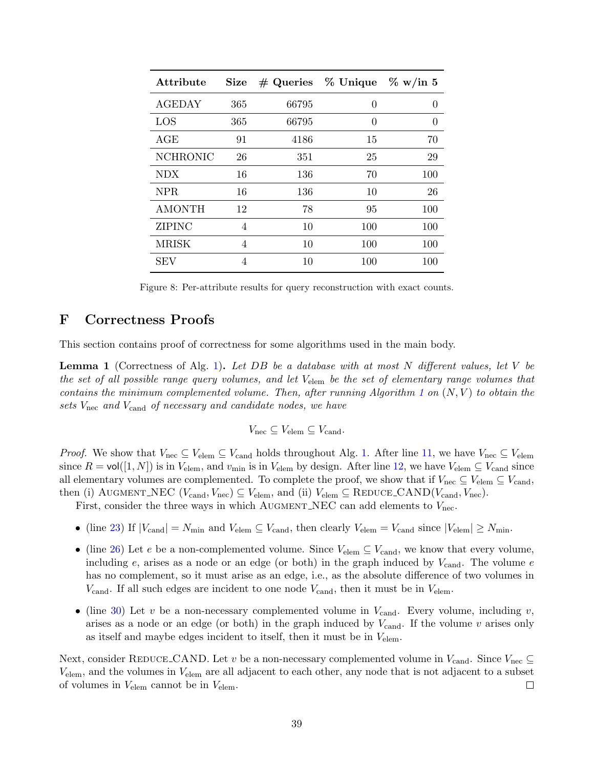<span id="page-38-2"></span>

| Attribute       | <b>Size</b> |       | # Queries % Unique % w/in 5 |              |
|-----------------|-------------|-------|-----------------------------|--------------|
| AGEDAY          | 365         | 66795 | $\theta$                    | $\theta$     |
| LOS             | 365         | 66795 | 0                           | $\mathbf{0}$ |
| AGE             | 91          | 4186  | 15                          | 70           |
| <b>NCHRONIC</b> | 26          | 351   | 25                          | 29           |
| NDX.            | 16          | 136   | 70                          | 100          |
| NPR.            | 16          | 136   | 10                          | 26           |
| <b>AMONTH</b>   | 12          | 78    | 95                          | 100          |
| ZIPINC          | 4           | 10    | 100                         | 100          |
| MRISK           | 4           | 10    | 100                         | 100          |
| <b>SEV</b>      | 4           | 10    | 100                         | 100          |

Figure 8: Per-attribute results for query reconstruction with exact counts.

## <span id="page-38-0"></span>F Correctness Proofs

This section contains proof of correctness for some algorithms used in the main body.

**Lemma 1** (Correctness of Alg. [1\)](#page-9-0). Let DB be a database with at most N different values, let V be the set of all possible range query volumes, and let Velem be the set of elementary range volumes that contains the minimum complemented volume. Then, after running Algorithm [1](#page-9-0) on  $(N, V)$  to obtain the sets  $V_{\text{nec}}$  and  $V_{\text{cand}}$  of necessary and candidate nodes, we have

$$
V_{\text{nec}} \subseteq V_{\text{elem}} \subseteq V_{\text{cand}}.
$$

*Proof.* We show that  $V_{\text{nec}} \subseteq V_{\text{elem}} \subseteq V_{\text{cand}}$  holds throughout Alg. [1.](#page-9-0) After line [11,](#page-9-6) we have  $V_{\text{nec}} \subseteq V_{\text{elem}}$ since  $R = vol([1, N])$  is in  $V_{\text{elem}}$ , and  $v_{\text{min}}$  is in  $V_{\text{elem}}$  by design. After line [12,](#page-9-9) we have  $V_{\text{elem}} \subseteq V_{\text{cand}}$  since all elementary volumes are complemented. To complete the proof, we show that if  $V_{\text{nec}} \subseteq V_{\text{elem}} \subseteq V_{\text{cand}}$ , then (i) AUGMENT\_NEC  $(V_{\text{cand}}, V_{\text{nec}}) \subseteq V_{\text{elem}}$ , and (ii)  $V_{\text{elem}} \subseteq \text{REDuce\_CAND}(V_{\text{cand}}, V_{\text{nec}})$ .

First, consider the three ways in which AUGMENT\_NEC can add elements to  $V_{\text{nec}}$ .

- (line [23\)](#page-9-10) If  $|V_{\text{cand}}| = N_{\text{min}}$  and  $V_{\text{elem}} \subseteq V_{\text{cand}}$ , then clearly  $V_{\text{elem}} = V_{\text{cand}}$  since  $|V_{\text{elem}}| \ge N_{\text{min}}$ .
- (line [26\)](#page-9-11) Let e be a non-complemented volume. Since  $V_{\text{elem}} \subseteq V_{\text{cand}}$ , we know that every volume, including e, arises as a node or an edge (or both) in the graph induced by  $V_{\text{cand}}$ . The volume e has no complement, so it must arise as an edge, i.e., as the absolute difference of two volumes in  $V_{\text{cand}}$ . If all such edges are incident to one node  $V_{\text{cand}}$ , then it must be in  $V_{\text{elem}}$ .
- (line [30\)](#page-9-12) Let v be a non-necessary complemented volume in  $V_{\text{cand}}$ . Every volume, including v, arises as a node or an edge (or both) in the graph induced by  $V_{\text{cand}}$ . If the volume v arises only as itself and maybe edges incident to itself, then it must be in  $V_{\text{elem}}$ .

<span id="page-38-1"></span>Next, consider REDUCE CAND. Let v be a non-necessary complemented volume in  $V_{\text{cand}}$ . Since  $V_{\text{nec}} \subseteq$  $V_{\text{elem}}$ , and the volumes in  $V_{\text{elem}}$  are all adjacent to each other, any node that is not adjacent to a subset of volumes in  $V_{\text{elem}}$  cannot be in  $V_{\text{elem}}$ .  $\Box$